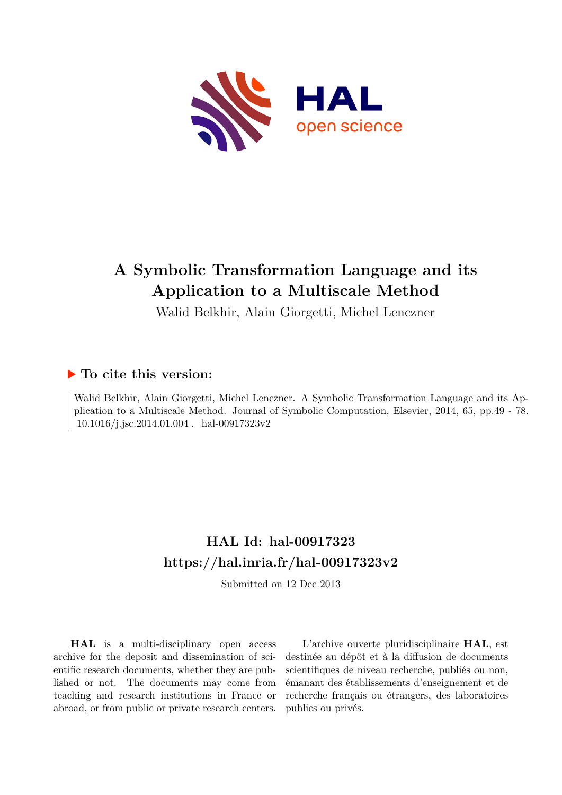

# **A Symbolic Transformation Language and its Application to a Multiscale Method**

Walid Belkhir, Alain Giorgetti, Michel Lenczner

# **To cite this version:**

Walid Belkhir, Alain Giorgetti, Michel Lenczner. A Symbolic Transformation Language and its Application to a Multiscale Method. Journal of Symbolic Computation, Elsevier, 2014, 65, pp.49 - 78.  $10.1016/j.jsc.2014.01.004$ . hal-00917323v2

# **HAL Id: hal-00917323 <https://hal.inria.fr/hal-00917323v2>**

Submitted on 12 Dec 2013

**HAL** is a multi-disciplinary open access archive for the deposit and dissemination of scientific research documents, whether they are published or not. The documents may come from teaching and research institutions in France or abroad, or from public or private research centers.

L'archive ouverte pluridisciplinaire **HAL**, est destinée au dépôt et à la diffusion de documents scientifiques de niveau recherche, publiés ou non, émanant des établissements d'enseignement et de recherche français ou étrangers, des laboratoires publics ou privés.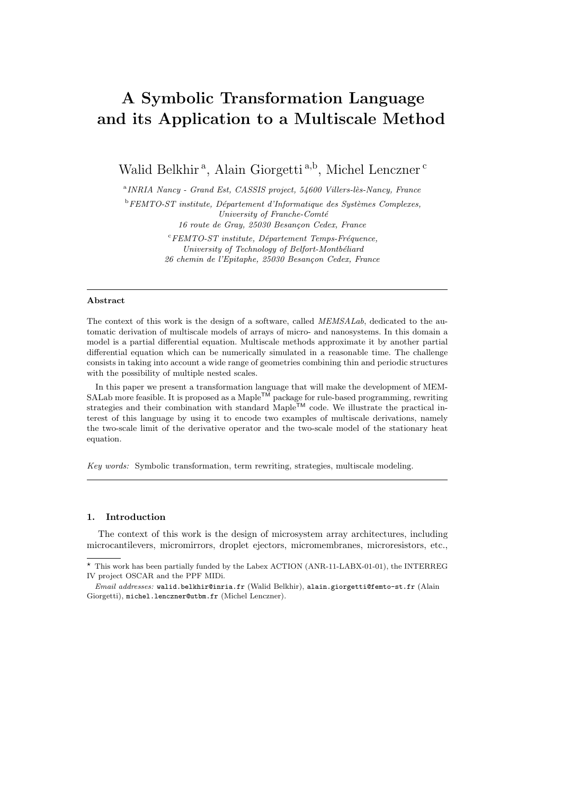# A Symbolic Transformation Language and its Application to a Multiscale Method

Walid Belkhir<sup>a</sup>, Alain Giorgetti<sup>a,b</sup>, Michel Lenczner<sup>c</sup>

<sup>a</sup> INRIA Nancy - Grand Est, CASSIS project, 54600 Villers-lès-Nancy, France

 $b$ FEMTO-ST institute, Département d'Informatique des Systèmes Complexes, University of Franche-Comté 16 route de Gray, 25030 Besancon Cedex, France

> ${}^c$ FEMTO-ST institute, Département Temps-Fréquence, University of Technology of Belfort-Montbéliard 26 chemin de l'Epitaphe, 25030 Besançon Cedex, France

### Abstract

The context of this work is the design of a software, called *MEMSALab*, dedicated to the automatic derivation of multiscale models of arrays of micro- and nanosystems. In this domain a model is a partial differential equation. Multiscale methods approximate it by another partial differential equation which can be numerically simulated in a reasonable time. The challenge consists in taking into account a wide range of geometries combining thin and periodic structures with the possibility of multiple nested scales.

In this paper we present a transformation language that will make the development of MEM-SALab more feasible. It is proposed as a Maple<sup>TM</sup> package for rule-based programming, rewriting strategies and their combination with standard Maple<sup>TM</sup> code. We illustrate the practical interest of this language by using it to encode two examples of multiscale derivations, namely the two-scale limit of the derivative operator and the two-scale model of the stationary heat equation.

Key words: Symbolic transformation, term rewriting, strategies, multiscale modeling.

# 1. Introduction

The context of this work is the design of microsystem array architectures, including microcantilevers, micromirrors, droplet ejectors, micromembranes, microresistors, etc.,

<sup>⋆</sup> This work has been partially funded by the Labex ACTION (ANR-11-LABX-01-01), the INTERREG IV project OSCAR and the PPF MIDi.

Email addresses: walid.belkhir@inria.fr (Walid Belkhir), alain.giorgetti@femto-st.fr (Alain Giorgetti), michel.lenczner@utbm.fr (Michel Lenczner).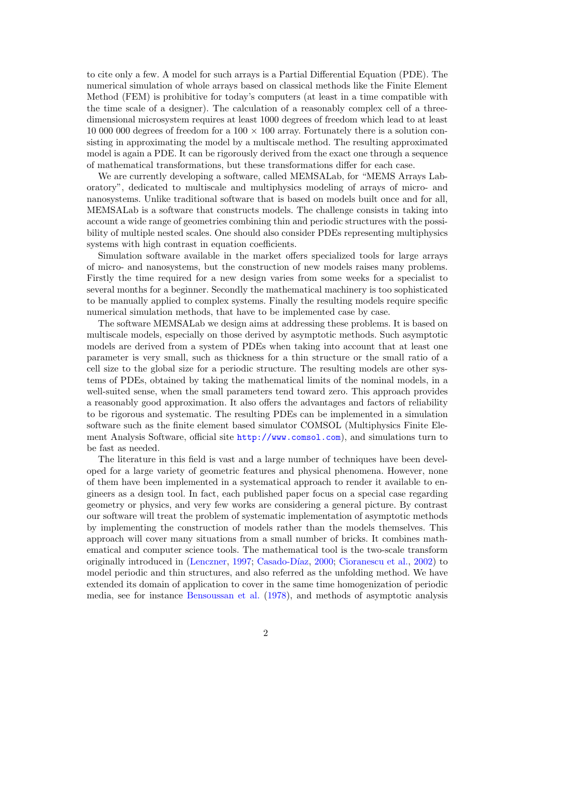to cite only a few. A model for such arrays is a Partial Differential Equation (PDE). The numerical simulation of whole arrays based on classical methods like the Finite Element Method (FEM) is prohibitive for today's computers (at least in a time compatible with the time scale of a designer). The calculation of a reasonably complex cell of a threedimensional microsystem requires at least 1000 degrees of freedom which lead to at least 10 000 000 degrees of freedom for a  $100 \times 100$  array. Fortunately there is a solution consisting in approximating the model by a multiscale method. The resulting approximated model is again a PDE. It can be rigorously derived from the exact one through a sequence of mathematical transformations, but these transformations differ for each case.

We are currently developing a software, called MEMSALab, for "MEMS Arrays Laboratory", dedicated to multiscale and multiphysics modeling of arrays of micro- and nanosystems. Unlike traditional software that is based on models built once and for all, MEMSALab is a software that constructs models. The challenge consists in taking into account a wide range of geometries combining thin and periodic structures with the possibility of multiple nested scales. One should also consider PDEs representing multiphysics systems with high contrast in equation coefficients.

Simulation software available in the market offers specialized tools for large arrays of micro- and nanosystems, but the construction of new models raises many problems. Firstly the time required for a new design varies from some weeks for a specialist to several months for a beginner. Secondly the mathematical machinery is too sophisticated to be manually applied to complex systems. Finally the resulting models require specific numerical simulation methods, that have to be implemented case by case.

The software MEMSALab we design aims at addressing these problems. It is based on multiscale models, especially on those derived by asymptotic methods. Such asymptotic models are derived from a system of PDEs when taking into account that at least one parameter is very small, such as thickness for a thin structure or the small ratio of a cell size to the global size for a periodic structure. The resulting models are other systems of PDEs, obtained by taking the mathematical limits of the nominal models, in a well-suited sense, when the small parameters tend toward zero. This approach provides a reasonably good approximation. It also offers the advantages and factors of reliability to be rigorous and systematic. The resulting PDEs can be implemented in a simulation software such as the finite element based simulator COMSOL (Multiphysics Finite Element Analysis Software, official site <http://www.comsol.com>), and simulations turn to be fast as needed.

The literature in this field is vast and a large number of techniques have been developed for a large variety of geometric features and physical phenomena. However, none of them have been implemented in a systematical approach to render it available to engineers as a design tool. In fact, each published paper focus on a special case regarding geometry or physics, and very few works are considering a general picture. By contrast our software will treat the problem of systematic implementation of asymptotic methods by implementing the construction of models rather than the models themselves. This approach will cover many situations from a small number of bricks. It combines mathematical and computer science tools. The mathematical tool is the two-scale transform originally introduced in [\(Lenczner,](#page-21-0) [1997;](#page-21-0) Casado-Díaz, [2000;](#page-20-0) [Cioranescu et al.,](#page-21-1) [2002\)](#page-21-1) to model periodic and thin structures, and also referred as the unfolding method. We have extended its domain of application to cover in the same time homogenization of periodic media, see for instance [Bensoussan et al.](#page-20-1) [\(1978\)](#page-20-1), and methods of asymptotic analysis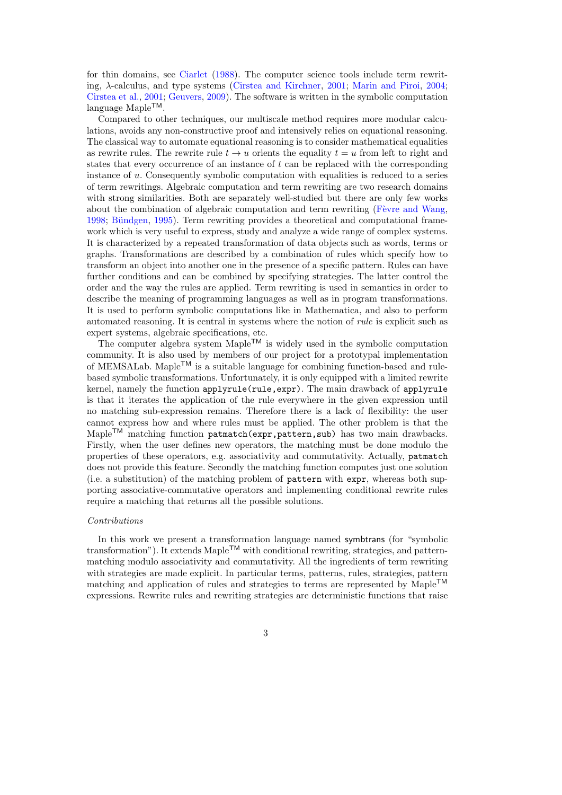for thin domains, see [Ciarlet](#page-21-2) [\(1988\)](#page-21-2). The computer science tools include term rewriting, λ-calculus, and type systems [\(Cirstea and Kirchner,](#page-21-3) [2001;](#page-21-3) [Marin and Piroi,](#page-21-4) [2004;](#page-21-4) [Cirstea et al.,](#page-21-5) [2001;](#page-21-5) [Geuvers,](#page-21-6) [2009\)](#page-21-6). The software is written in the symbolic computation language MapleTM.

Compared to other techniques, our multiscale method requires more modular calculations, avoids any non-constructive proof and intensively relies on equational reasoning. The classical way to automate equational reasoning is to consider mathematical equalities as rewrite rules. The rewrite rule  $t \to u$  orients the equality  $t = u$  from left to right and states that every occurrence of an instance of  $t$  can be replaced with the corresponding instance of  $u$ . Consequently symbolic computation with equalities is reduced to a series of term rewritings. Algebraic computation and term rewriting are two research domains with strong similarities. Both are separately well-studied but there are only few works about the combination of algebraic computation and term rewriting  $(F\acute{e}$  and Wang, [1998;](#page-21-7) Bündgen, [1995\)](#page-20-2). Term rewriting provides a theoretical and computational framework which is very useful to express, study and analyze a wide range of complex systems. It is characterized by a repeated transformation of data objects such as words, terms or graphs. Transformations are described by a combination of rules which specify how to transform an object into another one in the presence of a specific pattern. Rules can have further conditions and can be combined by specifying strategies. The latter control the order and the way the rules are applied. Term rewriting is used in semantics in order to describe the meaning of programming languages as well as in program transformations. It is used to perform symbolic computations like in Mathematica, and also to perform automated reasoning. It is central in systems where the notion of rule is explicit such as expert systems, algebraic specifications, etc.

The computer algebra system Maple<sup>TM</sup> is widely used in the symbolic computation community. It is also used by members of our project for a prototypal implementation of MEMSALab. MapleTM is a suitable language for combining function-based and rulebased symbolic transformations. Unfortunately, it is only equipped with a limited rewrite kernel, namely the function applyrule(rule,expr). The main drawback of applyrule is that it iterates the application of the rule everywhere in the given expression until no matching sub-expression remains. Therefore there is a lack of flexibility: the user cannot express how and where rules must be applied. The other problem is that the Maple<sup>TM</sup> matching function patmatch(expr,pattern,sub) has two main drawbacks. Firstly, when the user defines new operators, the matching must be done modulo the properties of these operators, e.g. associativity and commutativity. Actually, patmatch does not provide this feature. Secondly the matching function computes just one solution (i.e. a substitution) of the matching problem of pattern with expr, whereas both supporting associative-commutative operators and implementing conditional rewrite rules require a matching that returns all the possible solutions.

#### Contributions

In this work we present a transformation language named symbtrans (for "symbolic transformation"). It extends MapleTM with conditional rewriting, strategies, and patternmatching modulo associativity and commutativity. All the ingredients of term rewriting with strategies are made explicit. In particular terms, patterns, rules, strategies, pattern matching and application of rules and strategies to terms are represented by MapleTM expressions. Rewrite rules and rewriting strategies are deterministic functions that raise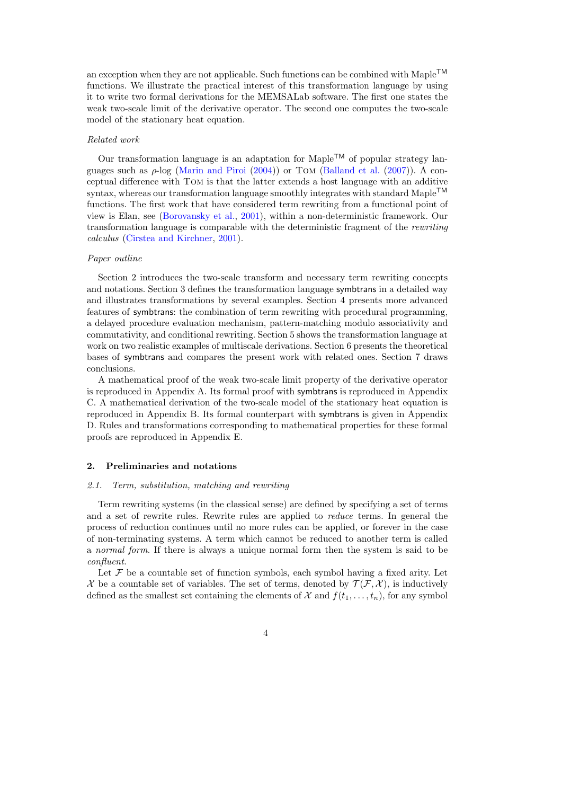an exception when they are not applicable. Such functions can be combined with Maple<sup>TM</sup> functions. We illustrate the practical interest of this transformation language by using it to write two formal derivations for the MEMSALab software. The first one states the weak two-scale limit of the derivative operator. The second one computes the two-scale model of the stationary heat equation.

#### Related work

Our transformation language is an adaptation for Maple<sup>TM</sup> of popular strategy languages such as  $\rho$ -log [\(Marin and Piroi](#page-21-4) [\(2004\)](#page-21-4)) or Tom [\(Balland et al.](#page-20-3) [\(2007\)](#page-20-3)). A conceptual difference with Tom is that the latter extends a host language with an additive syntax, whereas our transformation language smoothly integrates with standard MapleTM functions. The first work that have considered term rewriting from a functional point of view is Elan, see [\(Borovansky et al.,](#page-20-4) [2001\)](#page-20-4), within a non-deterministic framework. Our transformation language is comparable with the deterministic fragment of the rewriting calculus [\(Cirstea and Kirchner,](#page-21-3) [2001\)](#page-21-3).

#### Paper outline

Section 2 introduces the two-scale transform and necessary term rewriting concepts and notations. Section 3 defines the transformation language symbtrans in a detailed way and illustrates transformations by several examples. Section 4 presents more advanced features of symbtrans: the combination of term rewriting with procedural programming, a delayed procedure evaluation mechanism, pattern-matching modulo associativity and commutativity, and conditional rewriting. Section 5 shows the transformation language at work on two realistic examples of multiscale derivations. Section 6 presents the theoretical bases of symbtrans and compares the present work with related ones. Section 7 draws conclusions.

A mathematical proof of the weak two-scale limit property of the derivative operator is reproduced in Appendix A. Its formal proof with symbtrans is reproduced in Appendix C. A mathematical derivation of the two-scale model of the stationary heat equation is reproduced in Appendix B. Its formal counterpart with symbtrans is given in Appendix D. Rules and transformations corresponding to mathematical properties for these formal proofs are reproduced in Appendix E.

#### 2. Preliminaries and notations

#### 2.1. Term, substitution, matching and rewriting

Term rewriting systems (in the classical sense) are defined by specifying a set of terms and a set of rewrite rules. Rewrite rules are applied to reduce terms. In general the process of reduction continues until no more rules can be applied, or forever in the case of non-terminating systems. A term which cannot be reduced to another term is called a normal form. If there is always a unique normal form then the system is said to be confluent.

Let  $\mathcal F$  be a countable set of function symbols, each symbol having a fixed arity. Let X be a countable set of variables. The set of terms, denoted by  $\mathcal{T}(\mathcal{F}, \mathcal{X})$ , is inductively defined as the smallest set containing the elements of X and  $f(t_1, \ldots, t_n)$ , for any symbol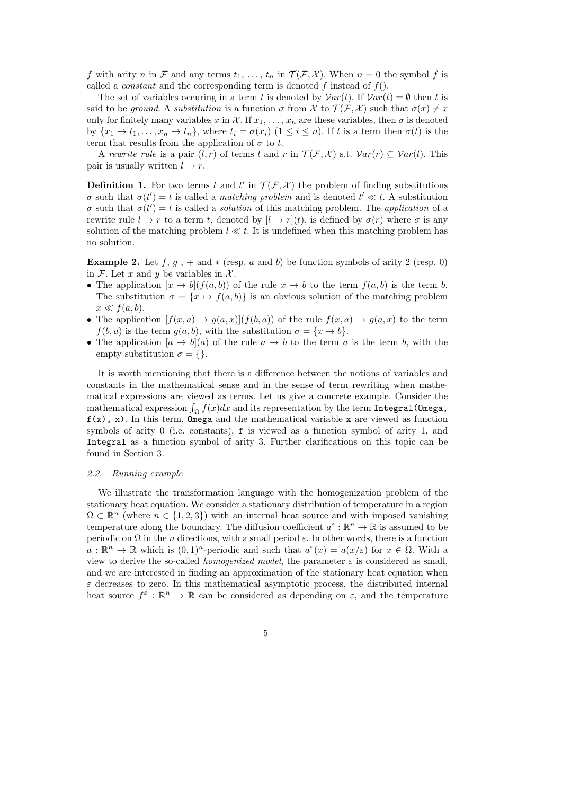f with arity n in F and any terms  $t_1, \ldots, t_n$  in  $\mathcal{T}(\mathcal{F}, \mathcal{X})$ . When  $n = 0$  the symbol f is called a *constant* and the corresponding term is denoted f instead of  $f(.)$ .

The set of variables occuring in a term t is denoted by  $Var(t)$ . If  $Var(t) = \emptyset$  then t is said to be ground. A substitution is a function  $\sigma$  from X to  $\mathcal{T}(\mathcal{F},\mathcal{X})$  such that  $\sigma(x) \neq x$ only for finitely many variables x in X. If  $x_1, \ldots, x_n$  are these variables, then  $\sigma$  is denoted by  $\{x_1 \mapsto t_1, \ldots, x_n \mapsto t_n\}$ , where  $t_i = \sigma(x_i)$   $(1 \leq i \leq n)$ . If t is a term then  $\sigma(t)$  is the term that results from the application of  $\sigma$  to t.

A rewrite rule is a pair  $(l, r)$  of terms l and r in  $\mathcal{T}(\mathcal{F}, \mathcal{X})$  s.t.  $Var(r) \subseteq Var(l)$ . This pair is usually written  $l \rightarrow r$ .

**Definition 1.** For two terms t and t' in  $\mathcal{T}(\mathcal{F}, \mathcal{X})$  the problem of finding substitutions σ such that  $\sigma(t') = t$  is called a *matching problem* and is denoted  $t' \ll t$ . A substitution σ such that  $σ(t') = t$  is called a *solution* of this matching problem. The *application* of a rewrite rule  $l \to r$  to a term t, denoted by  $[l \to r](t)$ , is defined by  $\sigma(r)$  where  $\sigma$  is any solution of the matching problem  $l \ll t$ . It is undefined when this matching problem has no solution.

**Example 2.** Let  $f, g, +$  and  $*$  (resp. a and b) be function symbols of arity 2 (resp. 0) in  $\mathcal F$ . Let  $x$  and  $y$  be variables in  $\mathcal X$ .

- The application  $[x \to b](f(a, b))$  of the rule  $x \to b$  to the term  $f(a, b)$  is the term b. The substitution  $\sigma = \{x \mapsto f(a, b)\}\$ is an obvious solution of the matching problem  $x \ll f(a, b)$ .
- The application  $[f(x, a) \rightarrow g(a, x)](f(b, a))$  of the rule  $f(x, a) \rightarrow g(a, x)$  to the term  $f(b, a)$  is the term  $g(a, b)$ , with the substitution  $\sigma = \{x \mapsto b\}.$
- The application  $[a \to b](a)$  of the rule  $a \to b$  to the term a is the term b, with the empty substitution  $\sigma = \{\}.$

It is worth mentioning that there is a difference between the notions of variables and constants in the mathematical sense and in the sense of term rewriting when mathematical expressions are viewed as terms. Let us give a concrete example. Consider the mathematical expression  $\int_{\Omega} f(x)dx$  and its representation by the term Integral (Omega,  $f(x)$ , x). In this term, Omega and the mathematical variable x are viewed as function symbols of arity 0 (i.e. constants), f is viewed as a function symbol of arity 1, and Integral as a function symbol of arity 3. Further clarifications on this topic can be found in Section 3.

#### 2.2. Running example

We illustrate the transformation language with the homogenization problem of the stationary heat equation. We consider a stationary distribution of temperature in a region  $\Omega \subset \mathbb{R}^n$  (where  $n \in \{1, 2, 3\}$ ) with an internal heat source and with imposed vanishing temperature along the boundary. The diffusion coefficient  $a^{\varepsilon} : \mathbb{R}^n \to \mathbb{R}$  is assumed to be periodic on  $\Omega$  in the *n* directions, with a small period  $\varepsilon$ . In other words, there is a function  $a: \mathbb{R}^n \to \mathbb{R}$  which is  $(0,1)^n$ -periodic and such that  $a^{\varepsilon}(x) = a(x/\varepsilon)$  for  $x \in \Omega$ . With a view to derive the so-called *homogenized model*, the parameter  $\varepsilon$  is considered as small, and we are interested in finding an approximation of the stationary heat equation when  $\varepsilon$  decreases to zero. In this mathematical asymptotic process, the distributed internal heat source  $f^{\varepsilon}: \mathbb{R}^n \to \mathbb{R}$  can be considered as depending on  $\varepsilon$ , and the temperature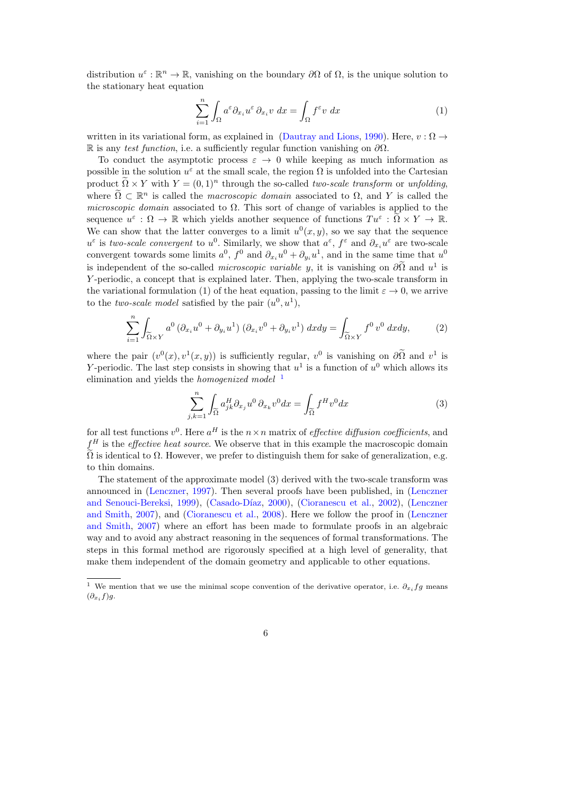distribution  $u^{\varepsilon}: \mathbb{R}^n \to \mathbb{R}$ , vanishing on the boundary  $\partial\Omega$  of  $\Omega$ , is the unique solution to the stationary heat equation

$$
\sum_{i=1}^{n} \int_{\Omega} a^{\varepsilon} \partial_{x_i} u^{\varepsilon} \, \partial_{x_i} v \, dx = \int_{\Omega} f^{\varepsilon} v \, dx \tag{1}
$$

written in its variational form, as explained in [\(Dautray and Lions,](#page-21-8) [1990\)](#page-21-8). Here,  $v : \Omega \rightarrow$ R is any test function, i.e. a sufficiently regular function vanishing on  $\partial\Omega$ .

To conduct the asymptotic process  $\varepsilon \to 0$  while keeping as much information as possible in the solution  $u^{\varepsilon}$  at the small scale, the region  $\Omega$  is unfolded into the Cartesian product  $\tilde{\Omega} \times Y$  with  $Y = (0, 1)^n$  through the so-called two-scale transform or unfolding, where  $\tilde{\Omega} \subset \mathbb{R}^n$  is called the *macroscopic domain* associated to  $\Omega$ , and Y is called the microscopic domain associated to  $\Omega$ . This sort of change of variables is applied to the sequence  $u^{\varepsilon} : \Omega \to \mathbb{R}$  which yields another sequence of functions  $Tu^{\varepsilon} : \widetilde{\Omega} \times Y \to \mathbb{R}$ . We can show that the latter converges to a limit  $u^0(x, y)$ , so we say that the sequence  $u^{\varepsilon}$  is two-scale convergent to  $u^0$ . Similarly, we show that  $a^{\varepsilon}$ ,  $f^{\varepsilon}$  and  $\partial_{x_i}u^{\varepsilon}$  are two-scale convergent towards some limits  $a^0$ ,  $f^0$  and  $\partial_{x_i}u^0 + \partial_{y_i}u^1$ , and in the same time that  $u^0$ is independent of the so-called *microscopic variable y*, it is vanishing on  $\partial\Omega$  and  $u^1$  is Y -periodic, a concept that is explained later. Then, applying the two-scale transform in the variational formulation (1) of the heat equation, passing to the limit  $\varepsilon \to 0$ , we arrive to the *two-scale model* satisfied by the pair  $(u^0, u^1)$ ,

$$
\sum_{i=1}^{n} \int_{\widetilde{\Omega} \times Y} a^0 \left( \partial_{x_i} u^0 + \partial_{y_i} u^1 \right) \left( \partial_{x_i} v^0 + \partial_{y_i} v^1 \right) dx dy = \int_{\widetilde{\Omega} \times Y} f^0 v^0 dx dy, \tag{2}
$$

where the pair  $(v^0(x), v^1(x, y))$  is sufficiently regular,  $v^0$  is vanishing on  $\partial\tilde{\Omega}$  and  $v^1$  is Y-periodic. The last step consists in showing that  $u^1$  is a function of  $u^0$  which allows its elimination and yields the *homogenized* model  $\frac{1}{2}$  $\frac{1}{2}$  $\frac{1}{2}$ 

$$
\sum_{j,k=1}^{n} \int_{\widetilde{\Omega}} a_{jk}^{H} \partial_{x_j} u^0 \, \partial_{x_k} v^0 dx = \int_{\widetilde{\Omega}} f^H v^0 dx \tag{3}
$$

for all test functions  $v^0$ . Here  $a^H$  is the  $n \times n$  matrix of *effective diffusion coefficients*, and  $f<sup>H</sup>$  is the *effective heat source*. We observe that in this example the macroscopic domain  $\tilde{\Omega}$  is identical to  $\Omega$ . However, we prefer to distinguish them for sake of generalization, e.g. to thin domains.

The statement of the approximate model (3) derived with the two-scale transform was announced in [\(Lenczner,](#page-21-0) [1997\)](#page-21-0). Then several proofs have been published, in [\(Lenczner](#page-21-9) [and Senouci-Bereksi,](#page-21-9) [1999\)](#page-21-9), (Casado-Díaz, [2000\)](#page-20-0), [\(Cioranescu et al.,](#page-21-1) [2002\)](#page-21-1), [\(Lenczner](#page-21-10) [and Smith,](#page-21-10) [2007\)](#page-21-10), and [\(Cioranescu et al.,](#page-21-11) [2008\)](#page-21-11). Here we follow the proof in [\(Lenczner](#page-21-10) [and Smith,](#page-21-10) [2007\)](#page-21-10) where an effort has been made to formulate proofs in an algebraic way and to avoid any abstract reasoning in the sequences of formal transformations. The steps in this formal method are rigorously specified at a high level of generality, that make them independent of the domain geometry and applicable to other equations.

<span id="page-6-0"></span><sup>&</sup>lt;sup>1</sup> We mention that we use the minimal scope convention of the derivative operator, i.e.  $\partial_{x_i} fg$  means  $(\partial_{x_i} f)g.$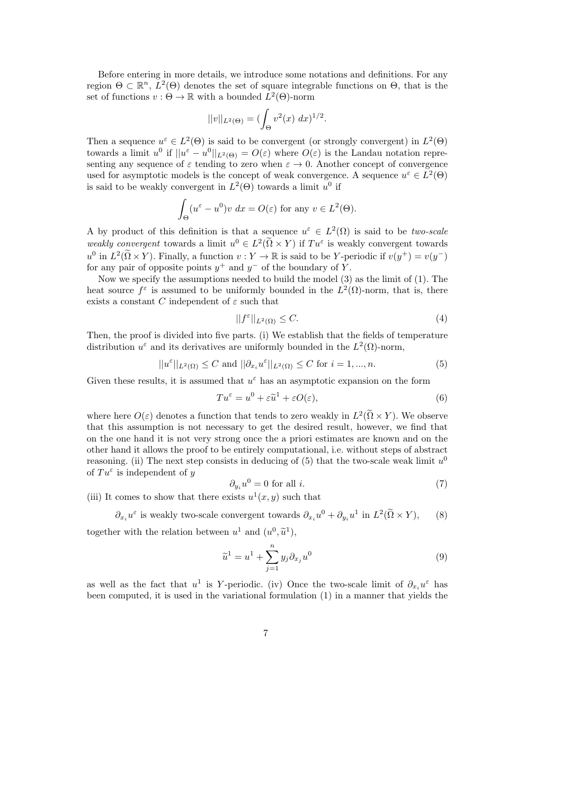Before entering in more details, we introduce some notations and definitions. For any region  $\Theta \subset \mathbb{R}^n$ ,  $L^2(\Theta)$  denotes the set of square integrable functions on  $\Theta$ , that is the set of functions  $v : \Theta \to \mathbb{R}$  with a bounded  $L^2(\Theta)$ -norm

$$
||v||_{L^2(\Theta)} = (\int_{\Theta} v^2(x) \ dx)^{1/2}.
$$

Then a sequence  $u^{\varepsilon} \in L^2(\Theta)$  is said to be convergent (or strongly convergent) in  $L^2(\Theta)$ towards a limit  $u^0$  if  $||u^{\varepsilon} - u^0||_{L^2(\Theta)} = O(\varepsilon)$  where  $O(\varepsilon)$  is the Landau notation representing any sequence of  $\varepsilon$  tending to zero when  $\varepsilon \to 0$ . Another concept of convergence used for asymptotic models is the concept of weak convergence. A sequence  $u^{\varepsilon} \in L^2(\Theta)$ is said to be weakly convergent in  $L^2(\Theta)$  towards a limit  $u^0$  if

$$
\int_{\Theta} (u^{\varepsilon} - u^0)v \, dx = O(\varepsilon) \text{ for any } v \in L^2(\Theta).
$$

A by product of this definition is that a sequence  $u^{\varepsilon} \in L^2(\Omega)$  is said to be *two-scale* weakly convergent towards a limit  $u^0 \in L^2(\Omega \times Y)$  if  $Tu^{\varepsilon}$  is weakly convergent towards  $u^0$  in  $L^2(\tilde{\Omega} \times Y)$ . Finally, a function  $v: Y \to \mathbb{R}$  is said to be Y-periodic if  $v(y^+) = v(y^-)$ for any pair of opposite points  $y^+$  and  $y^-$  of the boundary of Y.

Now we specify the assumptions needed to build the model (3) as the limit of (1). The heat source  $f^{\varepsilon}$  is assumed to be uniformly bounded in the  $L^2(\Omega)$ -norm, that is, there exists a constant C independent of  $\varepsilon$  such that

$$
||f^{\varepsilon}||_{L^{2}(\Omega)} \leq C. \tag{4}
$$

Then, the proof is divided into five parts. (i) We establish that the fields of temperature distribution  $u^{\varepsilon}$  and its derivatives are uniformly bounded in the  $L^2(\Omega)$ -norm,

$$
||u^{\varepsilon}||_{L^{2}(\Omega)} \leq C \text{ and } ||\partial_{x_{i}}u^{\varepsilon}||_{L^{2}(\Omega)} \leq C \text{ for } i = 1, ..., n.
$$
 (5)

Given these results, it is assumed that  $u^{\varepsilon}$  has an asymptotic expansion on the form

$$
Tu^{\varepsilon} = u^0 + \varepsilon \widetilde{u}^1 + \varepsilon O(\varepsilon),\tag{6}
$$

where here  $O(\varepsilon)$  denotes a function that tends to zero weakly in  $L^2(\Omega \times Y)$ . We observe that this assumption is not necessary to get the desired result, however, we find that on the one hand it is not very strong once the a priori estimates are known and on the other hand it allows the proof to be entirely computational, i.e. without steps of abstract reasoning. (ii) The next step consists in deducing of  $(5)$  that the two-scale weak limit  $u^0$ of  $Tu^{\varepsilon}$  is independent of y

$$
\partial_{y_i} u^0 = 0 \text{ for all } i. \tag{7}
$$

(iii) It comes to show that there exists  $u^1(x, y)$  such that

$$
\partial_{x_i} u^{\varepsilon}
$$
 is weakly two-scale convergent towards  $\partial_{x_i} u^0 + \partial_{y_i} u^1$  in  $L^2(\tilde{\Omega} \times Y)$ , (8)

together with the relation between  $u^1$  and  $(u^0, \tilde{u}^1)$ ,

$$
\widetilde{u}^1 = u^1 + \sum_{j=1}^n y_j \partial_{x_j} u^0 \tag{9}
$$

as well as the fact that  $u^1$  is Y-periodic. (iv) Once the two-scale limit of  $\partial_{x_i} u^{\varepsilon}$  has been computed, it is used in the variational formulation (1) in a manner that yields the

$$
7\phantom{.0}
$$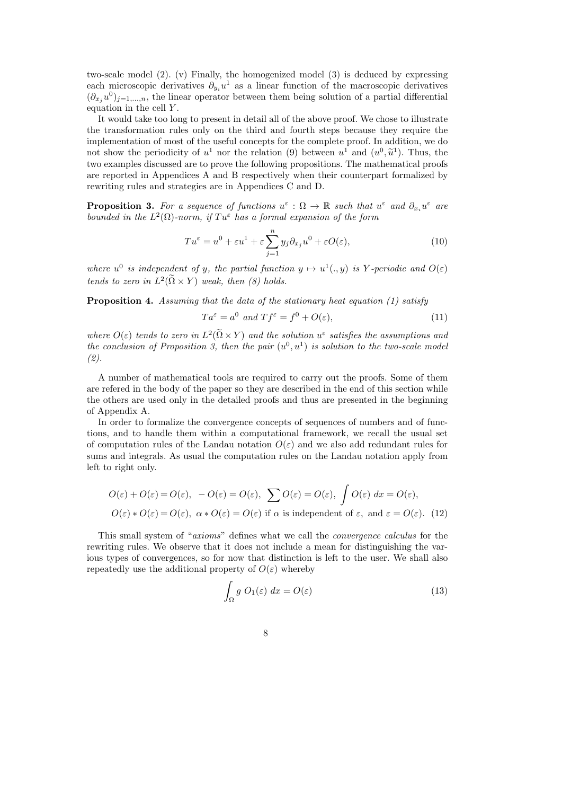two-scale model (2). (v) Finally, the homogenized model (3) is deduced by expressing each microscopic derivatives  $\partial_{y_i}u^1$  as a linear function of the macroscopic derivatives  $(\partial_{x_j}u^0)_{j=1,\ldots,n}$ , the linear operator between them being solution of a partial differential equation in the cell Y.

It would take too long to present in detail all of the above proof. We chose to illustrate the transformation rules only on the third and fourth steps because they require the implementation of most of the useful concepts for the complete proof. In addition, we do not show the periodicity of  $u^1$  nor the relation (9) between  $u^1$  and  $(u^0, \tilde{u}^1)$ . Thus, the two examples discussed are to prove the following propositions. The mathematical proofs are reported in Appendices A and B respectively when their counterpart formalized by rewriting rules and strategies are in Appendices C and D.

**Proposition 3.** For a sequence of functions  $u^{\varepsilon}$  :  $\Omega \to \mathbb{R}$  such that  $u^{\varepsilon}$  and  $\partial_{x_i}u^{\varepsilon}$  are bounded in the  $L^2(\Omega)$ -norm, if  $Tu^{\varepsilon}$  has a formal expansion of the form

$$
Tu^{\varepsilon} = u^0 + \varepsilon u^1 + \varepsilon \sum_{j=1}^{n} y_j \partial_{x_j} u^0 + \varepsilon O(\varepsilon), \tag{10}
$$

where  $u^0$  is independent of y, the partial function  $y \mapsto u^1(.,y)$  is Y-periodic and  $O(\varepsilon)$ tends to zero in  $L^2(\tilde{\Omega} \times Y)$  weak, then (8) holds.

**Proposition 4.** Assuming that the data of the stationary heat equation  $(1)$  satisfy

$$
Ta^{\varepsilon} = a^0 \text{ and } Tf^{\varepsilon} = f^0 + O(\varepsilon), \tag{11}
$$

where  $O(\varepsilon)$  tends to zero in  $L^2(\Omega \times Y)$  and the solution  $u^{\varepsilon}$  satisfies the assumptions and the conclusion of Proposition 3, then the pair  $(u^0, u^1)$  is solution to the two-scale model (2).

A number of mathematical tools are required to carry out the proofs. Some of them are refered in the body of the paper so they are described in the end of this section while the others are used only in the detailed proofs and thus are presented in the beginning of Appendix A.

In order to formalize the convergence concepts of sequences of numbers and of functions, and to handle them within a computational framework, we recall the usual set of computation rules of the Landau notation  $O(\varepsilon)$  and we also add redundant rules for sums and integrals. As usual the computation rules on the Landau notation apply from left to right only.

$$
O(\varepsilon) + O(\varepsilon) = O(\varepsilon), \quad -O(\varepsilon) = O(\varepsilon), \quad \sum O(\varepsilon) = O(\varepsilon), \quad \int O(\varepsilon) \, dx = O(\varepsilon),
$$

$$
O(\varepsilon) * O(\varepsilon) = O(\varepsilon), \quad \alpha * O(\varepsilon) = O(\varepsilon) \text{ if } \alpha \text{ is independent of } \varepsilon, \text{ and } \varepsilon = O(\varepsilon). \tag{12}
$$

This small system of "axioms" defines what we call the convergence calculus for the rewriting rules. We observe that it does not include a mean for distinguishing the various types of convergences, so for now that distinction is left to the user. We shall also repeatedly use the additional property of  $O(\varepsilon)$  whereby

$$
\int_{\Omega} g \ O_1(\varepsilon) \ dx = O(\varepsilon) \tag{13}
$$

8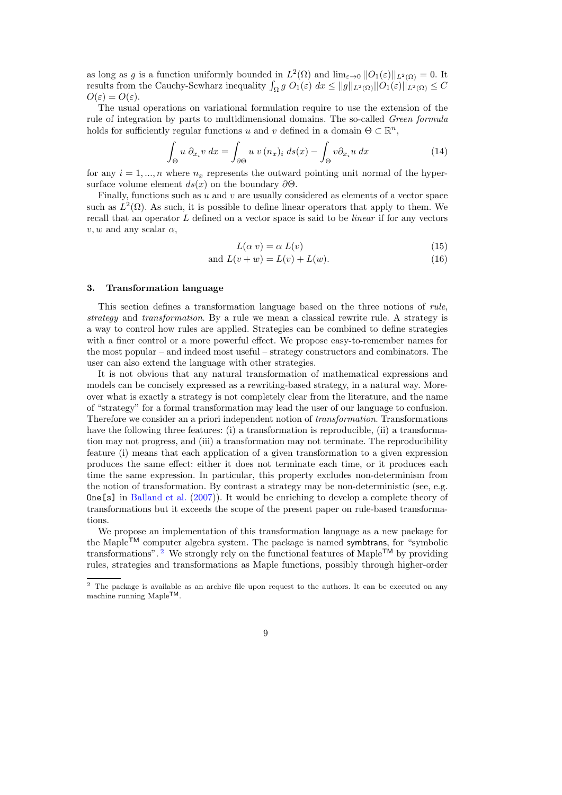as long as g is a function uniformly bounded in  $L^2(\Omega)$  and  $\lim_{\varepsilon \to 0} ||O_1(\varepsilon)||_{L^2(\Omega)} = 0$ . It results from the Cauchy-Scwharz inequality  $\int_{\Omega} g \ O_1(\varepsilon) dx \leq ||g||_{L^2(\Omega)} ||O_1(\varepsilon)||_{L^2(\Omega)} \leq C$  $O(\varepsilon) = O(\varepsilon).$ 

The usual operations on variational formulation require to use the extension of the rule of integration by parts to multidimensional domains. The so-called Green formula holds for sufficiently regular functions u and v defined in a domain  $\Theta \subset \mathbb{R}^n$ ,

$$
\int_{\Theta} u \, \partial_{x_i} v \, dx = \int_{\partial \Theta} u \, v \, (n_x)_i \, ds(x) - \int_{\Theta} v \partial_{x_i} u \, dx \tag{14}
$$

for any  $i = 1, ..., n$  where  $n_x$  represents the outward pointing unit normal of the hypersurface volume element  $ds(x)$  on the boundary  $\partial\Theta$ .

Finally, functions such as  $u$  and  $v$  are usually considered as elements of a vector space such as  $L^2(\Omega)$ . As such, it is possible to define linear operators that apply to them. We recall that an operator  $L$  defined on a vector space is said to be *linear* if for any vectors  $v, w$  and any scalar  $\alpha$ ,

$$
L(\alpha \ v) = \alpha \ L(v) \tag{15}
$$

and 
$$
L(v + w) = L(v) + L(w)
$$
. (16)

#### 3. Transformation language

This section defines a transformation language based on the three notions of rule, strategy and transformation. By a rule we mean a classical rewrite rule. A strategy is a way to control how rules are applied. Strategies can be combined to define strategies with a finer control or a more powerful effect. We propose easy-to-remember names for the most popular – and indeed most useful – strategy constructors and combinators. The user can also extend the language with other strategies.

It is not obvious that any natural transformation of mathematical expressions and models can be concisely expressed as a rewriting-based strategy, in a natural way. Moreover what is exactly a strategy is not completely clear from the literature, and the name of "strategy" for a formal transformation may lead the user of our language to confusion. Therefore we consider an a priori independent notion of transformation. Transformations have the following three features: (i) a transformation is reproducible, (ii) a transformation may not progress, and (iii) a transformation may not terminate. The reproducibility feature (i) means that each application of a given transformation to a given expression produces the same effect: either it does not terminate each time, or it produces each time the same expression. In particular, this property excludes non-determinism from the notion of transformation. By contrast a strategy may be non-deterministic (see, e.g. One[s] in [Balland et al.](#page-20-3) [\(2007\)](#page-20-3)). It would be enriching to develop a complete theory of transformations but it exceeds the scope of the present paper on rule-based transformations.

We propose an implementation of this transformation language as a new package for the MapleTM computer algebra system. The package is named symbtrans, for "symbolic transformations".<sup>[2](#page-9-0)</sup> We strongly rely on the functional features of Maple<sup>TM</sup> by providing rules, strategies and transformations as Maple functions, possibly through higher-order

<span id="page-9-0"></span><sup>&</sup>lt;sup>2</sup> The package is available as an archive file upon request to the authors. It can be executed on any machine running MapleTM.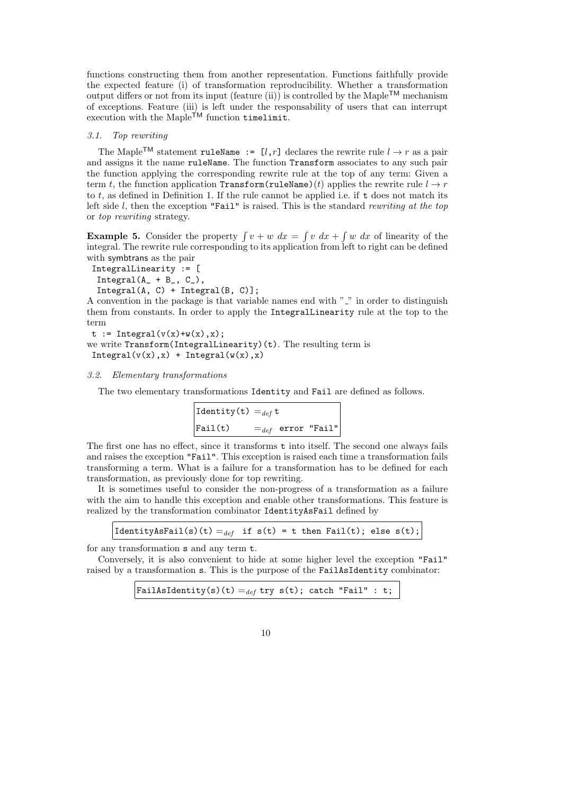functions constructing them from another representation. Functions faithfully provide the expected feature (i) of transformation reproducibility. Whether a transformation output differs or not from its input (feature (ii)) is controlled by the Maple<sup>TM</sup> mechanism of exceptions. Feature (iii) is left under the responsability of users that can interrupt execution with the Maple<sup> $TM$ </sup> function timelimit.

# 3.1. Top rewriting

The Maple<sup>TM</sup> statement ruleName := [l,r] declares the rewrite rule  $l \rightarrow r$  as a pair and assigns it the name ruleName. The function Transform associates to any such pair the function applying the corresponding rewrite rule at the top of any term: Given a term t, the function application Transform(ruleName)(t) applies the rewrite rule  $l \rightarrow r$ to t, as defined in Definition 1. If the rule cannot be applied i.e. if  $t$  does not match its left side  $l$ , then the exception "Fail" is raised. This is the standard rewriting at the top or top rewriting strategy.

**Example 5.** Consider the property  $\int v + w \, dx = \int v \, dx + \int w \, dx$  of linearity of the integral. The rewrite rule corresponding to its application from left to right can be defined with symbtrans as the pair

IntegralLinearity := [  $Integral(A_ + B_-, C_-),$  $Integral(A, C) + Integral(B, C)$ ;

A convention in the package is that variable names end with  $"$ " in order to distinguish them from constants. In order to apply the IntegralLinearity rule at the top to the term

t := Integral( $v(x)+w(x),x$ );

we write Transform(IntegralLinearity)(t). The resulting term is  $Integral(v(x),x) + Integral(w(x),x)$ 

#### 3.2. Elementary transformations

The two elementary transformations Identity and Fail are defined as follows.

Identity(t)  $=_{def}$ t  $\begin{vmatrix} \texttt{Fail(t)} & =_{\mathit{def}} \texttt{error "Fail"} \end{vmatrix}$ 

The first one has no effect, since it transforms t into itself. The second one always fails and raises the exception "Fail". This exception is raised each time a transformation fails transforming a term. What is a failure for a transformation has to be defined for each transformation, as previously done for top rewriting.

It is sometimes useful to consider the non-progress of a transformation as a failure with the aim to handle this exception and enable other transformations. This feature is realized by the transformation combinator IdentityAsFail defined by

IdentityAsFail(s)(t) =  $_{def}$  if s(t) = t then Fail(t); else s(t);

for any transformation s and any term t.

Conversely, it is also convenient to hide at some higher level the exception "Fail" raised by a transformation s. This is the purpose of the FailAsIdentity combinator:

FailAsIdentity(s)(t) = $_{def}$  try s(t); catch "Fail" : t;

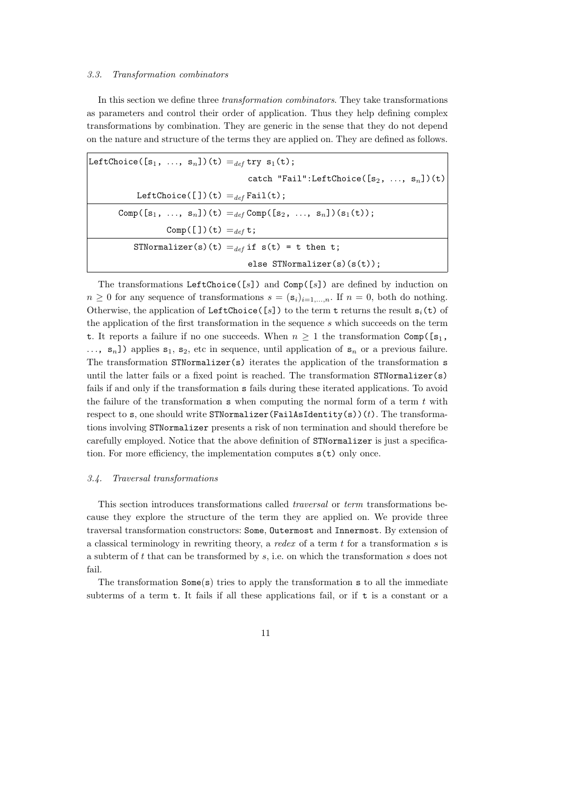# 3.3. Transformation combinators

In this section we define three transformation combinators. They take transformations as parameters and control their order of application. Thus they help defining complex transformations by combination. They are generic in the sense that they do not depend on the nature and structure of the terms they are applied on. They are defined as follows.

| LeftChoice( $[s_1, , s_n]$ )(t) = $_{def}$ try $s_1(t)$ ;                |  |
|--------------------------------------------------------------------------|--|
| catch "Fail":LeftChoice( $[s_2, , s_n]$ )(t)                             |  |
| LeftChoice([])(t) = $_{def}$ Fail(t);                                    |  |
| Comp( $[s_1, , s_n]$ )(t) = $_{def}$ Comp( $[s_2, , s_n]$ )( $s_1(t)$ ); |  |
| Comp([])(t) = $_{def}$ t;                                                |  |
| STNormalizer(s)(t) = $_{def}$ if s(t) = t then t;                        |  |
| else $S/Normalizer(s)(s(t));$                                            |  |

The transformations LeftChoice([s]) and Comp([s]) are defined by induction on  $n \geq 0$  for any sequence of transformations  $s = (\mathbf{s}_i)_{i=1,\dots,n}$ . If  $n = 0$ , both do nothing. Otherwise, the application of LeftChoice([s]) to the term t returns the result  $s_i(t)$  of the application of the first transformation in the sequence s which succeeds on the term t. It reports a failure if no one succeeds. When  $n \geq 1$  the transformation Comp([s<sub>1</sub>,  $\ldots$ ,  $s_n$ ) applies  $s_1$ ,  $s_2$ , etc in sequence, until application of  $s_n$  or a previous failure. The transformation STNormalizer(s) iterates the application of the transformation s until the latter fails or a fixed point is reached. The transformation STNormalizer(s) fails if and only if the transformation s fails during these iterated applications. To avoid the failure of the transformation  $s$  when computing the normal form of a term  $t$  with respect to s, one should write STNormalizer(FailAsIdentity(s))(t). The transformations involving STNormalizer presents a risk of non termination and should therefore be carefully employed. Notice that the above definition of STNormalizer is just a specification. For more efficiency, the implementation computes  $s(t)$  only once.

# 3.4. Traversal transformations

This section introduces transformations called traversal or term transformations because they explore the structure of the term they are applied on. We provide three traversal transformation constructors: Some, Outermost and Innermost. By extension of a classical terminology in rewriting theory, a redex of a term  $t$  for a transformation  $s$  is a subterm of t that can be transformed by  $s$ , i.e. on which the transformation  $s$  does not fail.

The transformation  $Some(s)$  tries to apply the transformation s to all the immediate subterms of a term t. It fails if all these applications fail, or if t is a constant or a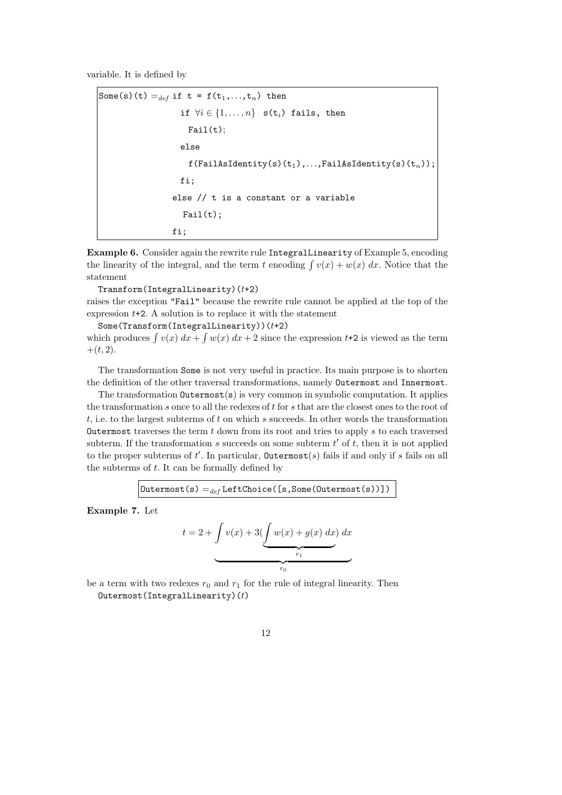variable. It is defined by

 $\begin{array}{l} \texttt{Some(s)}\texttt{(t)} =_{def} \texttt{if t = f(t_1, \ldots, t_n) then} \end{array}$ if  $\forall i \in \{1, ..., n\}$  s(t<sub>i</sub>) fails, then  $Fail(t);$ else f(FailAsIdentity(s)(t<sub>1</sub>),...,FailAsIdentity(s)(t<sub>n</sub>)); fi; else // t is a constant or a variable Fail(t); fi;

Example 6. Consider again the rewrite rule IntegralLinearity of Example 5, encoding the linearity of the integral, and the term t encoding  $\int v(x) + w(x) dx$ . Notice that the statement

 $Transform(Integrallinearity)(t+2)$ 

raises the exception "Fail" because the rewrite rule cannot be applied at the top of the expression  $t+2$ . A solution is to replace it with the statement

Some(Transform(IntegralLinearity))( $t+2$ ) which produces  $\int v(x) dx + \int w(x) dx + 2$  since the expression t+2 is viewed as the term  $+(t, 2).$ 

The transformation Some is not very useful in practice. Its main purpose is to shorten the definition of the other traversal transformations, namely Outermost and Innermost.

The transformation Outermost(s) is very common in symbolic computation. It applies the transformation s once to all the redexes of t for s that are the closest ones to the root of t, i.e. to the largest subterms of t on which s succeeds. In other words the transformation Outermost traverses the term  $t$  down from its root and tries to apply  $s$  to each traversed subterm. If the transformation  $s$  succeeds on some subterm  $t'$  of  $t$ , then it is not applied to the proper subterms of  $t'$ . In particular,  $\text{Outermost}(s)$  fails if and only if s fails on all the subterms of  $t$ . It can be formally defined by

 $\lceil \texttt{Outermost(s)} =_{def} \texttt{LeftChoice([s,Some(Outermost(s))])} \rceil$ 

Example 7. Let

$$
t = 2 + \int v(x) + 3(\underbrace{\int w(x) + g(x) dx}_{r_1}) dx
$$

be a term with two redexes  $r_0$  and  $r_1$  for the rule of integral linearity. Then  $Outermost(Integralling)$  $(t)$ 

12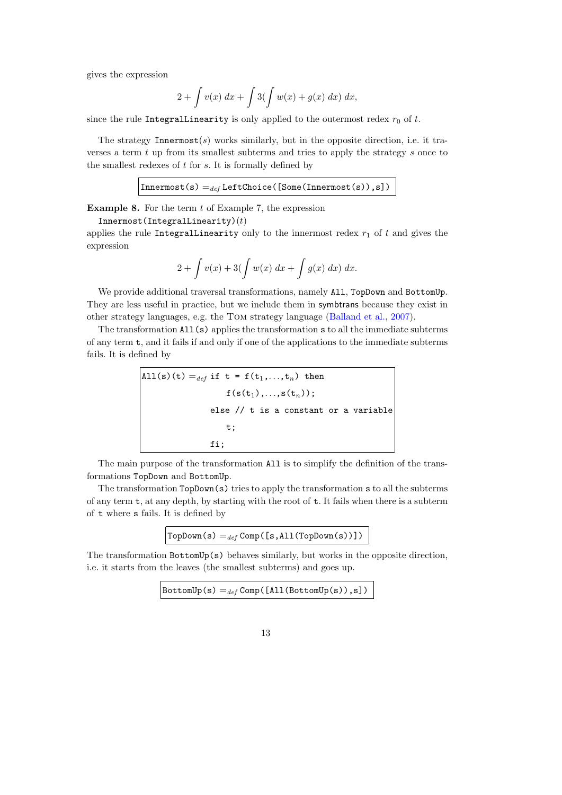gives the expression

$$
2 + \int v(x) dx + \int 3(\int w(x) + g(x) dx) dx,
$$

since the rule IntegralLinearity is only applied to the outermost redex  $r_0$  of t.

The strategy Innermost(s) works similarly, but in the opposite direction, i.e. it traverses a term  $t$  up from its smallest subterms and tries to apply the strategy  $s$  once to the smallest redexes of  $t$  for  $s$ . It is formally defined by

```
Innermost(s) =_{def} LeftChoice([Some(Innermost(s)),s])
```
**Example 8.** For the term  $t$  of Example 7, the expression

 $Innermost(IntegrallingLinearity)(t)$ 

applies the rule IntegralLinearity only to the innermost redex  $r_1$  of  $t$  and gives the expression

$$
2 + \int v(x) + 3(\int w(x) dx + \int g(x) dx) dx.
$$

We provide additional traversal transformations, namely All, TopDown and BottomUp. They are less useful in practice, but we include them in symbtrans because they exist in other strategy languages, e.g. the Tom strategy language [\(Balland et al.,](#page-20-3) [2007\)](#page-20-3).

The transformation All(s) applies the transformation s to all the immediate subterms of any term t, and it fails if and only if one of the applications to the immediate subterms fails. It is defined by

All(s)(t) =
$$
_{def}
$$
 if t = f(t<sub>1</sub>,...,t<sub>n</sub>) then  
\nf(s(t<sub>1</sub>),...,s(t<sub>n</sub>));  
\nelse // t is a constant or a variable  
\nt;  
\nfi;

The main purpose of the transformation All is to simplify the definition of the transformations TopDown and BottomUp.

The transformation TopDown(s) tries to apply the transformation s to all the subterms of any term t, at any depth, by starting with the root of t. It fails when there is a subterm of t where s fails. It is defined by

$$
\boxed{\texttt{TopDown}(s) =_{def} \texttt{Comp}(\texttt{[s,All(TopDown(s))]})}
$$

The transformation  $BottomUp(s)$  behaves similarly, but works in the opposite direction, i.e. it starts from the leaves (the smallest subterms) and goes up.

 $\big|$ BottomUp(s) = $_{def}$ Comp([All(BottomUp(s)),s])

13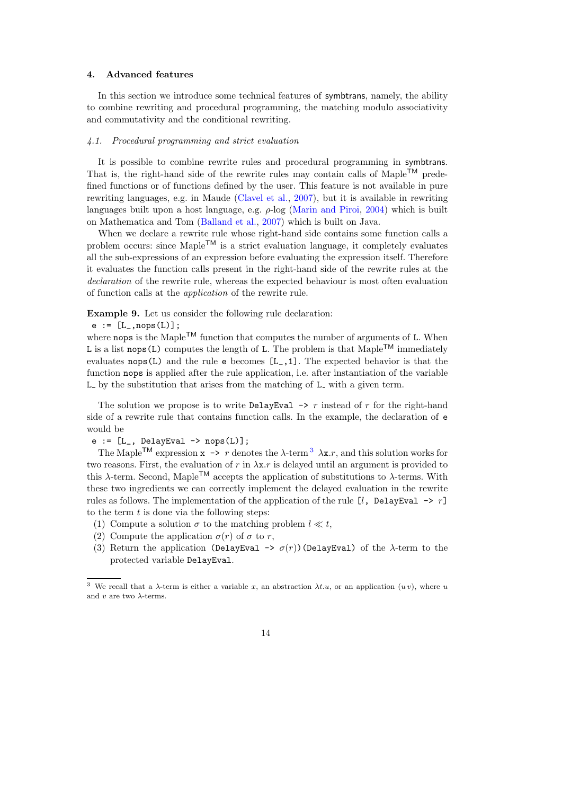# 4. Advanced features

In this section we introduce some technical features of symbtrans, namely, the ability to combine rewriting and procedural programming, the matching modulo associativity and commutativity and the conditional rewriting.

#### 4.1. Procedural programming and strict evaluation

It is possible to combine rewrite rules and procedural programming in symbtrans. That is, the right-hand side of the rewrite rules may contain calls of  $\text{Maple}^{\text{TM}}$  predefined functions or of functions defined by the user. This feature is not available in pure rewriting languages, e.g. in Maude [\(Clavel et al.,](#page-21-12) [2007\)](#page-21-12), but it is available in rewriting languages built upon a host language, e.g.  $\rho$ -log [\(Marin and Piroi,](#page-21-4) [2004\)](#page-21-4) which is built on Mathematica and Tom [\(Balland et al.,](#page-20-3) [2007\)](#page-20-3) which is built on Java.

When we declare a rewrite rule whose right-hand side contains some function calls a problem occurs: since Maple<sup>TM</sup> is a strict evaluation language, it completely evaluates all the sub-expressions of an expression before evaluating the expression itself. Therefore it evaluates the function calls present in the right-hand side of the rewrite rules at the declaration of the rewrite rule, whereas the expected behaviour is most often evaluation of function calls at the application of the rewrite rule.

Example 9. Let us consider the following rule declaration:

 $e := [L_{}, \text{nops}(L)],$ 

where nops is the Maple<sup>TM</sup> function that computes the number of arguments of L. When L is a list nops(L) computes the length of L. The problem is that  $\text{Maple}^{\text{TM}}$  immediately evaluates nops(L) and the rule e becomes [L\_,1]. The expected behavior is that the function nops is applied after the rule application, i.e. after instantiation of the variable L by the substitution that arises from the matching of L with a given term.

The solution we propose is to write DelayEval  $\rightarrow r$  instead of r for the right-hand side of a rewrite rule that contains function calls. In the example, the declaration of e would be

 $e := [L_$ , DelayEval  $\rightarrow$  nops(L)];

The Maple<sup>TM</sup> expression  $x \rightarrow r$  denotes the  $\lambda$ -term  $\lambda$   $\lambda x.r$ , and this solution works for two reasons. First, the evaluation of r in  $\lambda x. r$  is delayed until an argument is provided to this  $\lambda$ -term. Second, Maple<sup>TM</sup> accepts the application of substitutions to  $\lambda$ -terms. With these two ingredients we can correctly implement the delayed evaluation in the rewrite rules as follows. The implementation of the application of the rule  $[l,$  DelayEval  $\rightarrow r$ ] to the term  $t$  is done via the following steps:

- (1) Compute a solution  $\sigma$  to the matching problem  $l \ll t$ ,
- (2) Compute the application  $\sigma(r)$  of  $\sigma$  to r,
- (3) Return the application (DelayEval  $\rightarrow \sigma(r)$ )(DelayEval) of the  $\lambda$ -term to the protected variable DelayEval.

<span id="page-14-0"></span><sup>&</sup>lt;sup>3</sup> We recall that a  $\lambda$ -term is either a variable x, an abstraction  $\lambda t.u$ , or an application  $(u v)$ , where u and  $v$  are two  $\lambda$ -terms.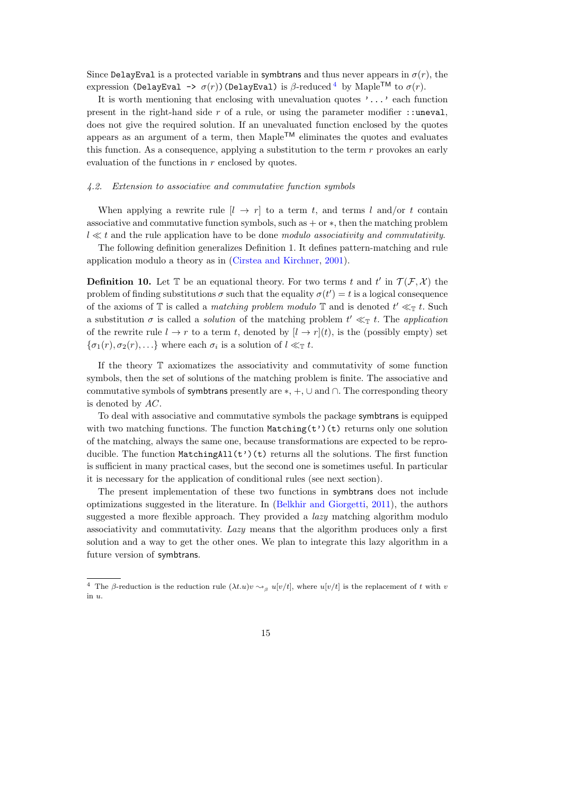Since DelayEval is a protected variable in symbtrans and thus never appears in  $\sigma(r)$ , the expression (DelayEval  $\rightarrow \sigma(r)$ )(DelayEval) is  $\beta$ -reduced<sup>[4](#page-15-0)</sup> by Maple<sup>TM</sup> to  $\sigma(r)$ .

It is worth mentioning that enclosing with unevaluation quotes '...' each function present in the right-hand side  $r$  of a rule, or using the parameter modifier ::uneval, does not give the required solution. If an unevaluated function enclosed by the quotes appears as an argument of a term, then  $\text{Maple}^{\text{TM}}$  eliminates the quotes and evaluates this function. As a consequence, applying a substitution to the term  $r$  provokes an early evaluation of the functions in  $r$  enclosed by quotes.

# 4.2. Extension to associative and commutative function symbols

When applying a rewrite rule  $[l \rightarrow r]$  to a term t, and terms l and/or t contain associative and commutative function symbols, such as  $+$  or  $*$ , then the matching problem  $l \ll t$  and the rule application have to be done modulo associativity and commutativity.

The following definition generalizes Definition 1. It defines pattern-matching and rule application modulo a theory as in [\(Cirstea and Kirchner,](#page-21-3) [2001\)](#page-21-3).

**Definition 10.** Let  $\mathbb{T}$  be an equational theory. For two terms t and t' in  $\mathcal{T}(\mathcal{F},\mathcal{X})$  the problem of finding substitutions  $\sigma$  such that the equality  $\sigma(t') = t$  is a logical consequence of the axioms of  $\mathbb T$  is called a *matching problem modulo*  $\mathbb T$  and is denoted  $t' \ll_{\mathbb T} t$ . Such a substitution  $\sigma$  is called a *solution* of the matching problem  $t' \ll_{\mathbb{T}} t$ . The *application* of the rewrite rule  $l \to r$  to a term t, denoted by  $[l \to r](t)$ , is the (possibly empty) set  $\{\sigma_1(r), \sigma_2(r), \ldots\}$  where each  $\sigma_i$  is a solution of  $l \ll_{\mathbb{T}} t$ .

If the theory  $\mathbb T$  axiomatizes the associativity and commutativity of some function symbols, then the set of solutions of the matching problem is finite. The associative and commutative symbols of symbtrans presently are  $*, +, \cup$  and  $\cap$ . The corresponding theory is denoted by AC.

To deal with associative and commutative symbols the package symbtrans is equipped with two matching functions. The function  $\text{Matching}(t')$  (t) returns only one solution of the matching, always the same one, because transformations are expected to be reproducible. The function  $\text{MatchingAll}(t')$  (t) returns all the solutions. The first function is sufficient in many practical cases, but the second one is sometimes useful. In particular it is necessary for the application of conditional rules (see next section).

The present implementation of these two functions in symbtrans does not include optimizations suggested in the literature. In [\(Belkhir and Giorgetti,](#page-20-5) [2011\)](#page-20-5), the authors suggested a more flexible approach. They provided a *lazy* matching algorithm modulo associativity and commutativity. Lazy means that the algorithm produces only a first solution and a way to get the other ones. We plan to integrate this lazy algorithm in a future version of symbtrans.

<span id="page-15-0"></span><sup>&</sup>lt;sup>4</sup> The β-reduction is the reduction rule  $(\lambda t.u)v \sim_{\beta} u[v/t]$ , where  $u[v/t]$  is the replacement of t with v in u.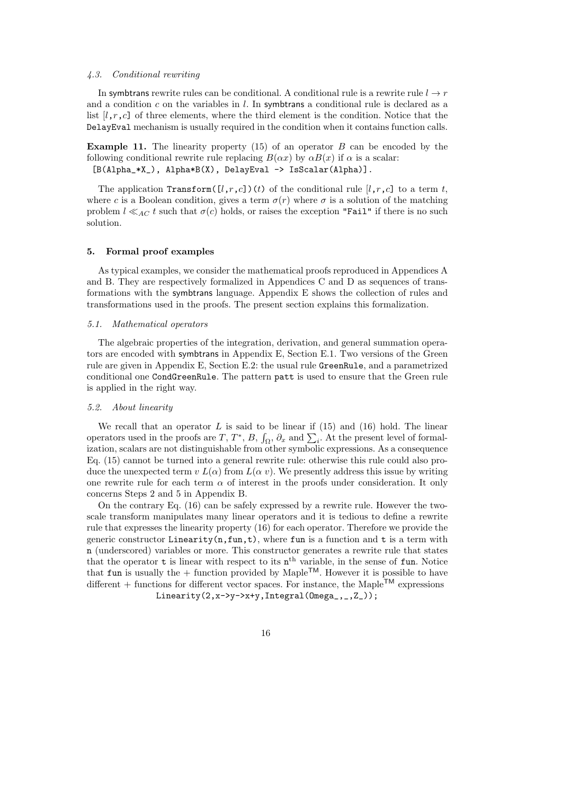#### 4.3. Conditional rewriting

In symbtrans rewrite rules can be conditional. A conditional rule is a rewrite rule  $l \rightarrow r$ and a condition c on the variables in  $l$ . In symbtrans a conditional rule is declared as a list  $[l,r,c]$  of three elements, where the third element is the condition. Notice that the DelayEval mechanism is usually required in the condition when it contains function calls.

**Example 11.** The linearity property  $(15)$  of an operator  $B$  can be encoded by the following conditional rewrite rule replacing  $B(\alpha x)$  by  $\alpha B(x)$  if  $\alpha$  is a scalar: [B(Alpha\_\*X\_), Alpha\*B(X), DelayEval -> IsScalar(Alpha)].

The application Transform([l,r,c])(t) of the conditional rule  $[l, r, c]$  to a term t, where c is a Boolean condition, gives a term  $\sigma(r)$  where  $\sigma$  is a solution of the matching problem  $l \ll_{AC} t$  such that  $\sigma(c)$  holds, or raises the exception "Fail" if there is no such solution.

### 5. Formal proof examples

As typical examples, we consider the mathematical proofs reproduced in Appendices A and B. They are respectively formalized in Appendices C and D as sequences of transformations with the symbtrans language. Appendix E shows the collection of rules and transformations used in the proofs. The present section explains this formalization.

#### 5.1. Mathematical operators

The algebraic properties of the integration, derivation, and general summation operators are encoded with symbtrans in Appendix E, Section E.1. Two versions of the Green rule are given in Appendix E, Section E.2: the usual rule GreenRule, and a parametrized conditional one CondGreenRule. The pattern patt is used to ensure that the Green rule is applied in the right way.

# 5.2. About linearity

We recall that an operator  $L$  is said to be linear if  $(15)$  and  $(16)$  hold. The linear operators used in the proofs are T,  $T^*$ , B,  $\int_{\Omega}$ ,  $\partial_x$  and  $\sum_i$ . At the present level of formalization, scalars are not distinguishable from other symbolic expressions. As a consequence Eq. (15) cannot be turned into a general rewrite rule: otherwise this rule could also produce the unexpected term  $v L(\alpha)$  from  $L(\alpha v)$ . We presently address this issue by writing one rewrite rule for each term  $\alpha$  of interest in the proofs under consideration. It only concerns Steps 2 and 5 in Appendix B.

On the contrary Eq. (16) can be safely expressed by a rewrite rule. However the twoscale transform manipulates many linear operators and it is tedious to define a rewrite rule that expresses the linearity property (16) for each operator. Therefore we provide the generic constructor Linearity $(n, fun, t)$ , where fun is a function and t is a term with n (underscored) variables or more. This constructor generates a rewrite rule that states that the operator  $t$  is linear with respect to its  $n<sup>th</sup>$  variable, in the sense of fun. Notice that fun is usually the  $+$  function provided by Maple<sup>TM</sup>. However it is possible to have different + functions for different vector spaces. For instance, the Maple<sup>TM</sup> expressions

Linearity(2,x->y->x+y,Integral(Omega\_,\_,Z\_));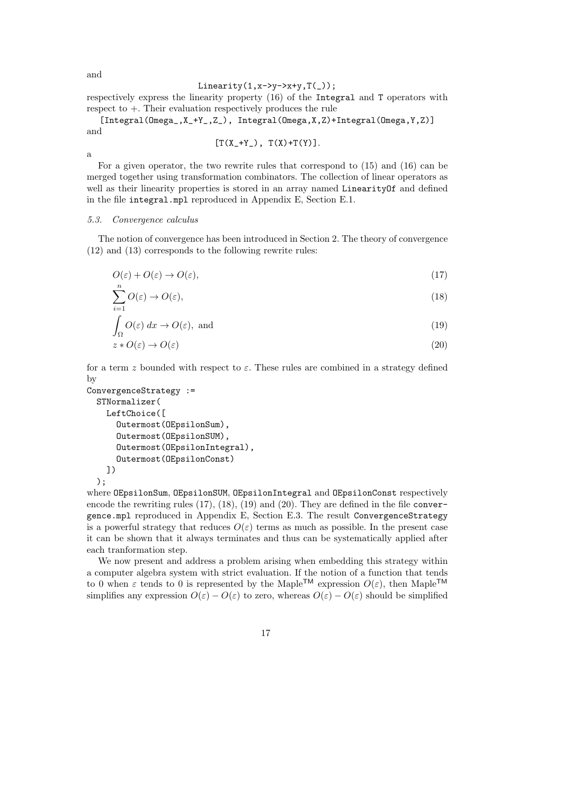and

$$
Linearity(1, x->y->x+y, T(\_));
$$

respectively express the linearity property (16) of the Integral and T operators with respect to +. Their evaluation respectively produces the rule

[Integral(Omega\_,X\_+Y\_,Z\_), Integral(Omega,X,Z)+Integral(Omega,Y,Z)] and

$$
[T(X_+Y_-), T(X)+T(Y)].
$$

a

For a given operator, the two rewrite rules that correspond to (15) and (16) can be merged together using transformation combinators. The collection of linear operators as well as their linearity properties is stored in an array named LinearityOf and defined in the file integral.mpl reproduced in Appendix E, Section E.1.

# 5.3. Convergence calculus

The notion of convergence has been introduced in Section 2. The theory of convergence (12) and (13) corresponds to the following rewrite rules:

$$
O(\varepsilon) + O(\varepsilon) \to O(\varepsilon),\tag{17}
$$

$$
\sum_{i=1}^{n} O(\varepsilon) \to O(\varepsilon),\tag{18}
$$

$$
\int_{\Omega} O(\varepsilon) dx \to O(\varepsilon), \text{ and}
$$
\n(19)

$$
z \ast O(\varepsilon) \to O(\varepsilon) \tag{20}
$$

for a term z bounded with respect to  $\varepsilon$ . These rules are combined in a strategy defined by

```
ConvergenceStrategy :=
 STNormalizer(
    LeftChoice([
      Outermost(OEpsilonSum),
      Outermost(OEpsilonSUM),
      Outermost(OEpsilonIntegral),
      Outermost(OEpsilonConst)
   ])
 );
```
where OEpsilonSum, OEpsilonSUM, OEpsilonIntegral and OEpsilonConst respectively encode the rewriting rules (17), (18), (19) and (20). They are defined in the file convergence.mpl reproduced in Appendix E, Section E.3. The result ConvergenceStrategy is a powerful strategy that reduces  $O(\varepsilon)$  terms as much as possible. In the present case it can be shown that it always terminates and thus can be systematically applied after each tranformation step.

We now present and address a problem arising when embedding this strategy within a computer algebra system with strict evaluation. If the notion of a function that tends to 0 when  $\varepsilon$  tends to 0 is represented by the Maple<sup>TM</sup> expression  $O(\varepsilon)$ , then Maple<sup>TM</sup> simplifies any expression  $O(\varepsilon) - O(\varepsilon)$  to zero, whereas  $O(\varepsilon) - O(\varepsilon)$  should be simplified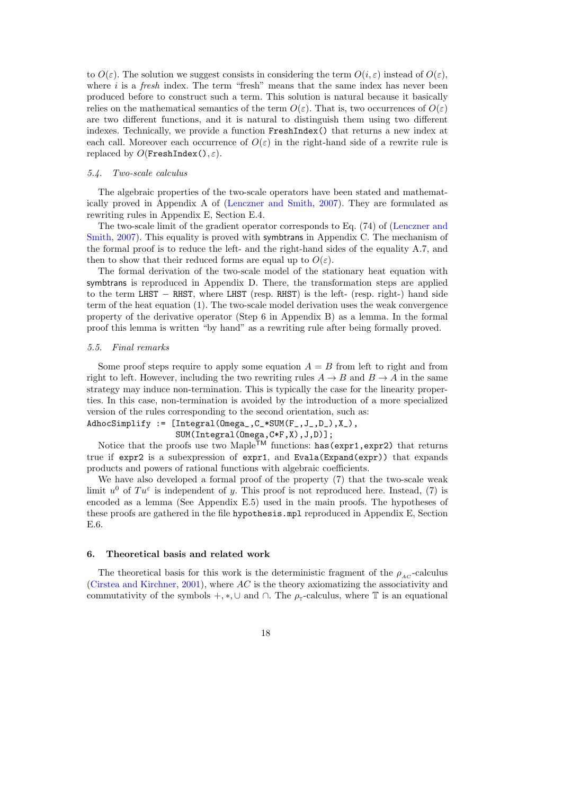to  $O(\varepsilon)$ . The solution we suggest consists in considering the term  $O(i,\varepsilon)$  instead of  $O(\varepsilon)$ , where  $i$  is a *fresh* index. The term "fresh" means that the same index has never been produced before to construct such a term. This solution is natural because it basically relies on the mathematical semantics of the term  $O(\varepsilon)$ . That is, two occurrences of  $O(\varepsilon)$ are two different functions, and it is natural to distinguish them using two different indexes. Technically, we provide a function FreshIndex() that returns a new index at each call. Moreover each occurrence of  $O(\varepsilon)$  in the right-hand side of a rewrite rule is replaced by  $O(\text{FreshIndex}(), \varepsilon)$ .

# 5.4. Two-scale calculus

The algebraic properties of the two-scale operators have been stated and mathematically proved in Appendix A of [\(Lenczner and Smith,](#page-21-10) [2007\)](#page-21-10). They are formulated as rewriting rules in Appendix E, Section E.4.

The two-scale limit of the gradient operator corresponds to Eq. (74) of [\(Lenczner and](#page-21-10) [Smith,](#page-21-10) [2007\)](#page-21-10). This equality is proved with symbtrans in Appendix C. The mechanism of the formal proof is to reduce the left- and the right-hand sides of the equality A.7, and then to show that their reduced forms are equal up to  $O(\varepsilon)$ .

The formal derivation of the two-scale model of the stationary heat equation with symbtrans is reproduced in Appendix D. There, the transformation steps are applied to the term LHST − RHST, where LHST (resp. RHST) is the left- (resp. right-) hand side term of the heat equation (1). The two-scale model derivation uses the weak convergence property of the derivative operator (Step 6 in Appendix B) as a lemma. In the formal proof this lemma is written "by hand" as a rewriting rule after being formally proved.

# 5.5. Final remarks

Some proof steps require to apply some equation  $A = B$  from left to right and from right to left. However, including the two rewriting rules  $A \to B$  and  $B \to A$  in the same strategy may induce non-termination. This is typically the case for the linearity properties. In this case, non-termination is avoided by the introduction of a more specialized version of the rules corresponding to the second orientation, such as:

AdhocSimplify := [Integral(Omega\_,C\_\*SUM(F\_,J\_,D\_),X\_),

SUM(Integral(Omega,C\*F,X),J,D)];

Notice that the proofs use two Maple<sup>TM</sup> functions: has (expr1,expr2) that returns true if expr2 is a subexpression of expr1, and Evala(Expand(expr)) that expands products and powers of rational functions with algebraic coefficients.

We have also developed a formal proof of the property (7) that the two-scale weak limit  $u^0$  of  $Tu^{\varepsilon}$  is independent of y. This proof is not reproduced here. Instead, (7) is encoded as a lemma (See Appendix E.5) used in the main proofs. The hypotheses of these proofs are gathered in the file hypothesis.mpl reproduced in Appendix E, Section E.6.

# 6. Theoretical basis and related work

The theoretical basis for this work is the deterministic fragment of the  $\rho_{AC}$ -calculus [\(Cirstea and Kirchner,](#page-21-3) [2001\)](#page-21-3), where AC is the theory axiomatizing the associativity and commutativity of the symbols +,  $*, \cup$  and  $\cap$ . The  $\rho_{\tau}$ -calculus, where  $\mathbb T$  is an equational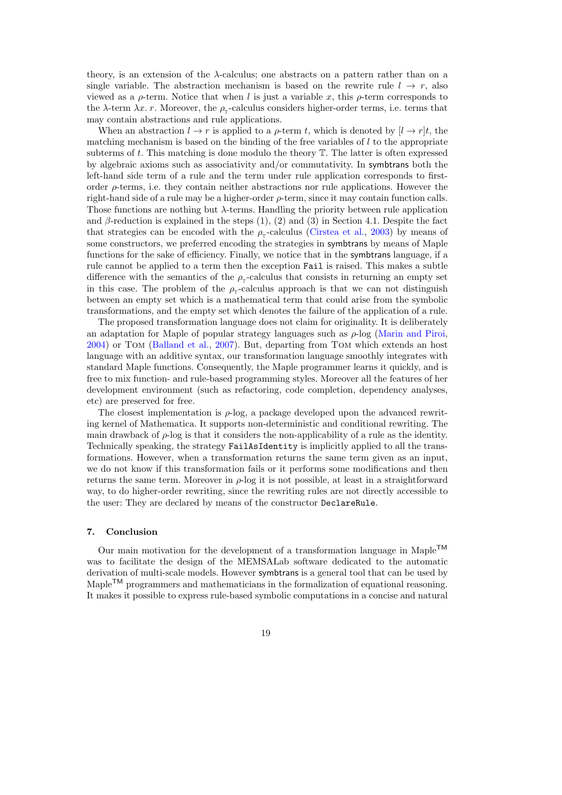theory, is an extension of the  $\lambda$ -calculus; one abstracts on a pattern rather than on a single variable. The abstraction mechanism is based on the rewrite rule  $l \rightarrow r$ , also viewed as a  $\rho$ -term. Notice that when l is just a variable x, this  $\rho$ -term corresponds to the  $\lambda$ -term  $\lambda x$ . r. Moreover, the  $\rho_{\text{t}}$ -calculus considers higher-order terms, i.e. terms that may contain abstractions and rule applications.

When an abstraction  $l \to r$  is applied to a  $\rho$ -term t, which is denoted by  $[l \to r]t$ , the matching mechanism is based on the binding of the free variables of  $l$  to the appropriate subterms of t. This matching is done modulo the theory T. The latter is often expressed by algebraic axioms such as associativity and/or commutativity. In symbtrans both the left-hand side term of a rule and the term under rule application corresponds to firstorder  $\rho$ -terms, i.e. they contain neither abstractions nor rule applications. However the right-hand side of a rule may be a higher-order  $\rho$ -term, since it may contain function calls. Those functions are nothing but  $\lambda$ -terms. Handling the priority between rule application and  $\beta$ -reduction is explained in the steps  $(1), (2)$  and  $(3)$  in Section 4.1. Despite the fact that strategies can be encoded with the  $\rho_{\text{t}}$ -calculus [\(Cirstea et al.,](#page-21-13) [2003\)](#page-21-13) by means of some constructors, we preferred encoding the strategies in symbtrans by means of Maple functions for the sake of efficiency. Finally, we notice that in the symbtrans language, if a rule cannot be applied to a term then the exception Fail is raised. This makes a subtle difference with the semantics of the  $\rho_{\tau}$ -calculus that consists in returning an empty set in this case. The problem of the  $\rho_{\rm T}$ -calculus approach is that we can not distinguish between an empty set which is a mathematical term that could arise from the symbolic transformations, and the empty set which denotes the failure of the application of a rule.

The proposed transformation language does not claim for originality. It is deliberately an adaptation for Maple of popular strategy languages such as  $\rho$ -log [\(Marin and Piroi,](#page-21-4) [2004\)](#page-21-4) or Tom [\(Balland et al.,](#page-20-3) [2007\)](#page-20-3). But, departing from Tom which extends an host language with an additive syntax, our transformation language smoothly integrates with standard Maple functions. Consequently, the Maple programmer learns it quickly, and is free to mix function- and rule-based programming styles. Moreover all the features of her development environment (such as refactoring, code completion, dependency analyses, etc) are preserved for free.

The closest implementation is  $\rho$ -log, a package developed upon the advanced rewriting kernel of Mathematica. It supports non-deterministic and conditional rewriting. The main drawback of  $\rho$ -log is that it considers the non-applicability of a rule as the identity. Technically speaking, the strategy FailAsIdentity is implicitly applied to all the transformations. However, when a transformation returns the same term given as an input, we do not know if this transformation fails or it performs some modifications and then returns the same term. Moreover in  $\rho$ -log it is not possible, at least in a straightforward way, to do higher-order rewriting, since the rewriting rules are not directly accessible to the user: They are declared by means of the constructor DeclareRule.

# 7. Conclusion

Our main motivation for the development of a transformation language in Maple<sup>TM</sup> was to facilitate the design of the MEMSALab software dedicated to the automatic derivation of multi-scale models. However symbtrans is a general tool that can be used by  $\text{Maple}^{\text{TM}}$  programmers and mathematicians in the formalization of equational reasoning. It makes it possible to express rule-based symbolic computations in a concise and natural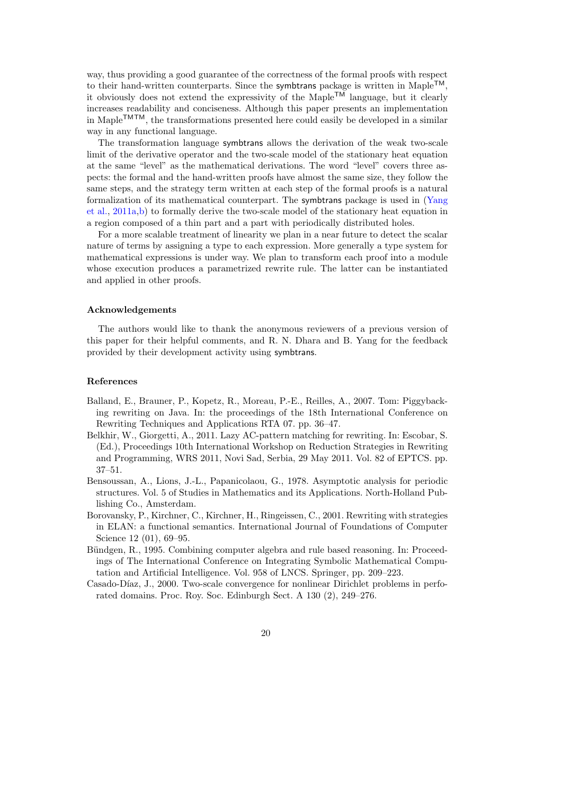way, thus providing a good guarantee of the correctness of the formal proofs with respect to their hand-written counterparts. Since the symbtrans package is written in Maple<sup>TM</sup>. it obviously does not extend the expressivity of the MapleTM language, but it clearly increases readability and conciseness. Although this paper presents an implementation in MapleTMTM, the transformations presented here could easily be developed in a similar way in any functional language.

The transformation language symbtrans allows the derivation of the weak two-scale limit of the derivative operator and the two-scale model of the stationary heat equation at the same "level" as the mathematical derivations. The word "level" covers three aspects: the formal and the hand-written proofs have almost the same size, they follow the same steps, and the strategy term written at each step of the formal proofs is a natural formalization of its mathematical counterpart. The symbtrans package is used in [\(Yang](#page-21-14) [et al.,](#page-21-14) [2011a,](#page-21-14)[b\)](#page-21-15) to formally derive the two-scale model of the stationary heat equation in a region composed of a thin part and a part with periodically distributed holes.

For a more scalable treatment of linearity we plan in a near future to detect the scalar nature of terms by assigning a type to each expression. More generally a type system for mathematical expressions is under way. We plan to transform each proof into a module whose execution produces a parametrized rewrite rule. The latter can be instantiated and applied in other proofs.

### Acknowledgements

The authors would like to thank the anonymous reviewers of a previous version of this paper for their helpful comments, and R. N. Dhara and B. Yang for the feedback provided by their development activity using symbtrans.

#### References

- <span id="page-20-3"></span>Balland, E., Brauner, P., Kopetz, R., Moreau, P.-E., Reilles, A., 2007. Tom: Piggybacking rewriting on Java. In: the proceedings of the 18th International Conference on Rewriting Techniques and Applications RTA 07. pp. 36–47.
- <span id="page-20-5"></span>Belkhir, W., Giorgetti, A., 2011. Lazy AC-pattern matching for rewriting. In: Escobar, S. (Ed.), Proceedings 10th International Workshop on Reduction Strategies in Rewriting and Programming, WRS 2011, Novi Sad, Serbia, 29 May 2011. Vol. 82 of EPTCS. pp. 37–51.
- <span id="page-20-1"></span>Bensoussan, A., Lions, J.-L., Papanicolaou, G., 1978. Asymptotic analysis for periodic structures. Vol. 5 of Studies in Mathematics and its Applications. North-Holland Publishing Co., Amsterdam.
- <span id="page-20-4"></span>Borovansky, P., Kirchner, C., Kirchner, H., Ringeissen, C., 2001. Rewriting with strategies in ELAN: a functional semantics. International Journal of Foundations of Computer Science 12 (01), 69–95.
- <span id="page-20-2"></span>Bündgen, R., 1995. Combining computer algebra and rule based reasoning. In: Proceedings of The International Conference on Integrating Symbolic Mathematical Computation and Artificial Intelligence. Vol. 958 of LNCS. Springer, pp. 209–223.
- <span id="page-20-0"></span>Casado-Díaz, J., 2000. Two-scale convergence for nonlinear Dirichlet problems in perforated domains. Proc. Roy. Soc. Edinburgh Sect. A 130 (2), 249–276.
	- 20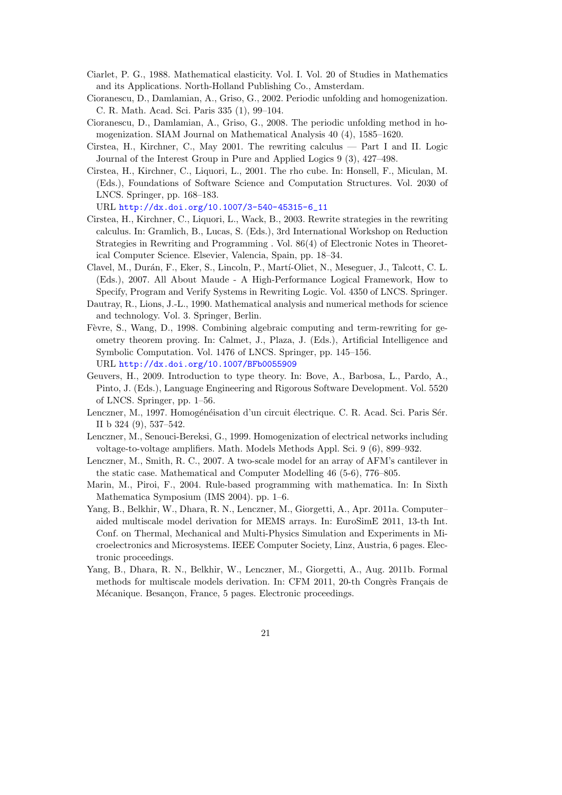- <span id="page-21-2"></span>Ciarlet, P. G., 1988. Mathematical elasticity. Vol. I. Vol. 20 of Studies in Mathematics and its Applications. North-Holland Publishing Co., Amsterdam.
- <span id="page-21-1"></span>Cioranescu, D., Damlamian, A., Griso, G., 2002. Periodic unfolding and homogenization. C. R. Math. Acad. Sci. Paris 335 (1), 99–104.
- <span id="page-21-11"></span>Cioranescu, D., Damlamian, A., Griso, G., 2008. The periodic unfolding method in homogenization. SIAM Journal on Mathematical Analysis 40 (4), 1585–1620.
- <span id="page-21-3"></span>Cirstea, H., Kirchner, C., May 2001. The rewriting calculus — Part I and II. Logic Journal of the Interest Group in Pure and Applied Logics 9 (3), 427–498.
- <span id="page-21-5"></span>Cirstea, H., Kirchner, C., Liquori, L., 2001. The rho cube. In: Honsell, F., Miculan, M. (Eds.), Foundations of Software Science and Computation Structures. Vol. 2030 of LNCS. Springer, pp. 168–183.

URL [http://dx.doi.org/10.1007/3-540-45315-6\\_11](http://dx.doi.org/10.1007/3-540-45315-6_11)

- <span id="page-21-13"></span>Cirstea, H., Kirchner, C., Liquori, L., Wack, B., 2003. Rewrite strategies in the rewriting calculus. In: Gramlich, B., Lucas, S. (Eds.), 3rd International Workshop on Reduction Strategies in Rewriting and Programming . Vol. 86(4) of Electronic Notes in Theoretical Computer Science. Elsevier, Valencia, Spain, pp. 18–34.
- <span id="page-21-12"></span>Clavel, M., Durán, F., Eker, S., Lincoln, P., Martí-Oliet, N., Meseguer, J., Talcott, C. L. (Eds.), 2007. All About Maude - A High-Performance Logical Framework, How to Specify, Program and Verify Systems in Rewriting Logic. Vol. 4350 of LNCS. Springer.
- <span id="page-21-8"></span>Dautray, R., Lions, J.-L., 1990. Mathematical analysis and numerical methods for science and technology. Vol. 3. Springer, Berlin.
- <span id="page-21-7"></span>Fèvre, S., Wang, D., 1998. Combining algebraic computing and term-rewriting for geometry theorem proving. In: Calmet, J., Plaza, J. (Eds.), Artificial Intelligence and Symbolic Computation. Vol. 1476 of LNCS. Springer, pp. 145–156. URL <http://dx.doi.org/10.1007/BFb0055909>
- <span id="page-21-6"></span>Geuvers, H., 2009. Introduction to type theory. In: Bove, A., Barbosa, L., Pardo, A., Pinto, J. (Eds.), Language Engineering and Rigorous Software Development. Vol. 5520 of LNCS. Springer, pp. 1–56.
- <span id="page-21-0"></span>Lenczner, M., 1997. Homogénéisation d'un circuit électrique. C. R. Acad. Sci. Paris Sér. II b 324 (9), 537–542.
- <span id="page-21-9"></span>Lenczner, M., Senouci-Bereksi, G., 1999. Homogenization of electrical networks including voltage-to-voltage amplifiers. Math. Models Methods Appl. Sci. 9 (6), 899–932.
- <span id="page-21-10"></span>Lenczner, M., Smith, R. C., 2007. A two-scale model for an array of AFM's cantilever in the static case. Mathematical and Computer Modelling 46 (5-6), 776–805.
- <span id="page-21-4"></span>Marin, M., Piroi, F., 2004. Rule-based programming with mathematica. In: In Sixth Mathematica Symposium (IMS 2004). pp. 1–6.
- <span id="page-21-14"></span>Yang, B., Belkhir, W., Dhara, R. N., Lenczner, M., Giorgetti, A., Apr. 2011a. Computer– aided multiscale model derivation for MEMS arrays. In: EuroSimE 2011, 13-th Int. Conf. on Thermal, Mechanical and Multi-Physics Simulation and Experiments in Microelectronics and Microsystems. IEEE Computer Society, Linz, Austria, 6 pages. Electronic proceedings.
- <span id="page-21-15"></span>Yang, B., Dhara, R. N., Belkhir, W., Lenczner, M., Giorgetti, A., Aug. 2011b. Formal methods for multiscale models derivation. In: CFM 2011, 20-th Congrès Français de Mécanique. Besançon, France, 5 pages. Electronic proceedings.
	- 21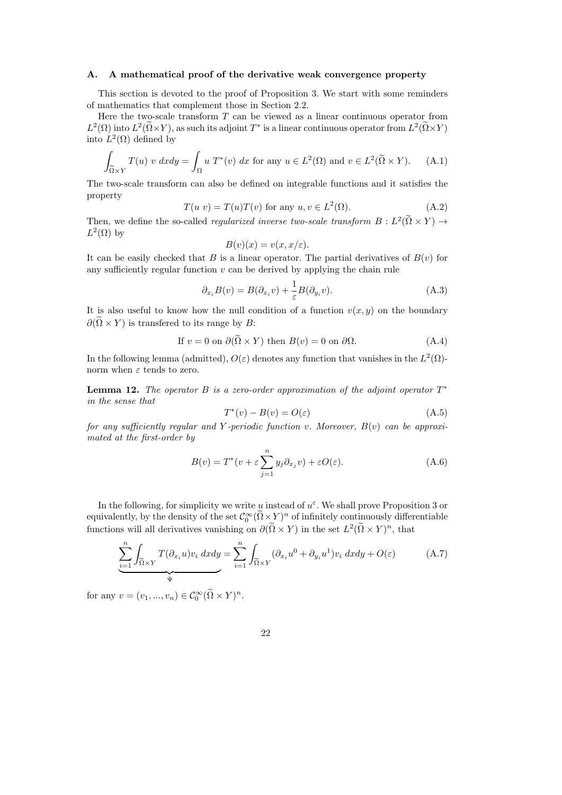### A. A mathematical proof of the derivative weak convergence property

This section is devoted to the proof of Proposition 3. We start with some reminders of mathematics that complement those in Section 2.2.

Here the two-scale transform T can be viewed as a linear continuous operator from  $L^2(\Omega)$  into  $L^2(\widetilde{\Omega} \times Y)$ , as such its adjoint  $T^*$  is a linear continuous operator from  $L^2(\widetilde{\Omega} \times Y)$ into  $L^2(\Omega)$  defined by

$$
\int_{\widetilde{\Omega}\times Y} T(u) \ v \ dx dy = \int_{\Omega} u \ T^*(v) \ dx \text{ for any } u \in L^2(\Omega) \text{ and } v \in L^2(\widetilde{\Omega}\times Y). \tag{A.1}
$$

The two-scale transform can also be defined on integrable functions and it satisfies the property

$$
T(u\ v) = T(u)T(v) \text{ for any } u, v \in L^{2}(\Omega). \tag{A.2}
$$

Then, we define the so-called *regularized inverse two-scale transform*  $B: L^2(\overline{\Omega} \times Y) \to$  $L^2(\Omega)$  by

$$
B(v)(x) = v(x, x/\varepsilon).
$$

It can be easily checked that B is a linear operator. The partial derivatives of  $B(v)$  for any sufficiently regular function  $v$  can be derived by applying the chain rule

$$
\partial_{x_i} B(v) = B(\partial_{x_i} v) + \frac{1}{\varepsilon} B(\partial_{y_i} v). \tag{A.3}
$$

It is also useful to know how the null condition of a function  $v(x, y)$  on the boundary  $\partial(\tilde{\Omega} \times Y)$  is transferred to its range by B:

If 
$$
v = 0
$$
 on  $\partial(\Omega \times Y)$  then  $B(v) = 0$  on  $\partial\Omega$ . (A.4)

In the following lemma (admitted),  $O(\varepsilon)$  denotes any function that vanishes in the  $L^2(\Omega)$ norm when  $\varepsilon$  tends to zero.

**Lemma 12.** The operator B is a zero-order approximation of the adjoint operator  $T^*$ in the sense that

$$
T^*(v) - B(v) = O(\varepsilon)
$$
\n(A.5)

for any sufficiently regular and Y-periodic function v. Moreover,  $B(v)$  can be approximated at the first-order by

$$
B(v) = T^*(v + \varepsilon \sum_{j=1}^n y_j \partial_{x_j} v) + \varepsilon O(\varepsilon).
$$
 (A.6)

In the following, for simplicity we write u instead of  $u^{\varepsilon}$ . We shall prove Proposition 3 or equivalently, by the density of the set  $\mathcal{C}_0^{\infty}(\tilde{\Omega} \times Y)^n$  of infinitely continuously differentiable functions will all derivatives vanishing on  $\partial(\Omega \times Y)$  in the set  $L^2(\Omega \times Y)^n$ , that

$$
\underbrace{\sum_{i=1}^{n} \int_{\widetilde{\Omega} \times Y} T(\partial_{x_i} u) v_i dx dy}_{\Psi} = \sum_{i=1}^{n} \int_{\widetilde{\Omega} \times Y} (\partial_{x_i} u^0 + \partial_{y_i} u^1) v_i dx dy + O(\varepsilon)
$$
 (A.7)

for any  $v = (v_1, ..., v_n) \in C_0^{\infty} (\tilde{\Omega} \times Y)^n$ .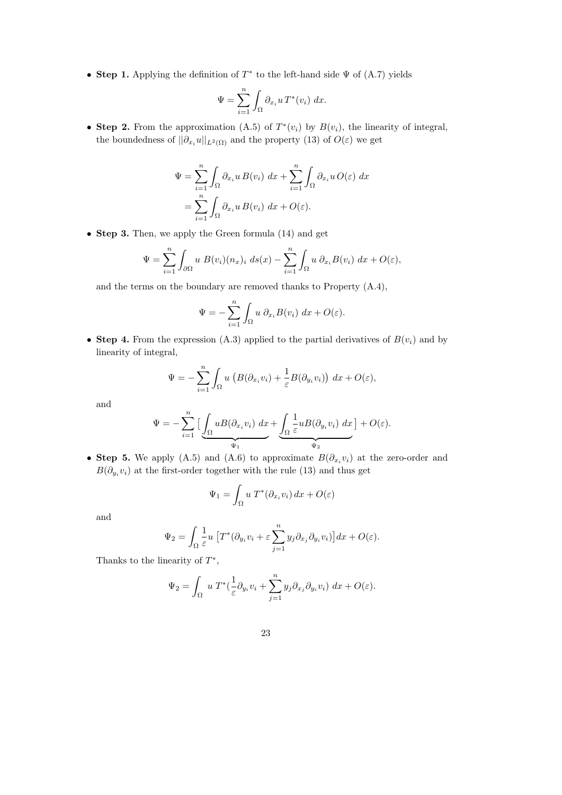• Step 1. Applying the definition of  $T^*$  to the left-hand side  $\Psi$  of (A.7) yields

$$
\Psi = \sum_{i=1}^n \int_{\Omega} \partial_{x_i} u \, T^*(v_i) \, dx.
$$

• Step 2. From the approximation (A.5) of  $T^*(v_i)$  by  $B(v_i)$ , the linearity of integral, the boundedness of  $||\partial_{x_i}u||_{L^2(\Omega)}$  and the property (13) of  $O(\varepsilon)$  we get

$$
\Psi = \sum_{i=1}^{n} \int_{\Omega} \partial_{x_i} u B(v_i) dx + \sum_{i=1}^{n} \int_{\Omega} \partial_{x_i} u O(\varepsilon) dx
$$
  
= 
$$
\sum_{i=1}^{n} \int_{\Omega} \partial_{x_i} u B(v_i) dx + O(\varepsilon).
$$

• Step 3. Then, we apply the Green formula (14) and get

$$
\Psi = \sum_{i=1}^{n} \int_{\partial \Omega} u \ B(v_i)(n_x)_i \ ds(x) - \sum_{i=1}^{n} \int_{\Omega} u \ \partial_{x_i} B(v_i) \ dx + O(\varepsilon),
$$

and the terms on the boundary are removed thanks to Property (A.4),

$$
\Psi = -\sum_{i=1}^{n} \int_{\Omega} u \, \partial_{x_i} B(v_i) \, dx + O(\varepsilon).
$$

• Step 4. From the expression (A.3) applied to the partial derivatives of  $B(v_i)$  and by linearity of integral,

$$
\Psi = -\sum_{i=1}^n \int_{\Omega} u \left( B(\partial_{x_i} v_i) + \frac{1}{\varepsilon} B(\partial_{y_i} v_i) \right) dx + O(\varepsilon),
$$

and

$$
\Psi = -\sum_{i=1}^{n} \left[ \underbrace{\int_{\Omega} uB(\partial_{x_i}v_i) \, dx}_{\Psi_1} + \underbrace{\int_{\Omega} \frac{1}{\varepsilon} uB(\partial_{y_i}v_i) \, dx}_{\Psi_2} \right] + O(\varepsilon).
$$

• Step 5. We apply (A.5) and (A.6) to approximate  $B(\partial_{x_i}v_i)$  at the zero-order and  $B(\partial_{y_i} v_i)$  at the first-order together with the rule (13) and thus get

$$
\Psi_1 = \int_{\Omega} u \, T^*(\partial_{x_i} v_i) \, dx + O(\varepsilon)
$$

and

$$
\Psi_2 = \int_{\Omega} \frac{1}{\varepsilon} u \left[ T^*(\partial_{y_i} v_i + \varepsilon \sum_{j=1}^n y_j \partial_{x_j} \partial_{y_i} v_i) \right] dx + O(\varepsilon).
$$

Thanks to the linearity of  $T^*$ ,

$$
\Psi_2 = \int_{\Omega} u \, T^*(\frac{1}{\varepsilon} \partial_{y_i} v_i + \sum_{j=1}^n y_j \partial_{x_j} \partial_{y_i} v_i) \, dx + O(\varepsilon).
$$

23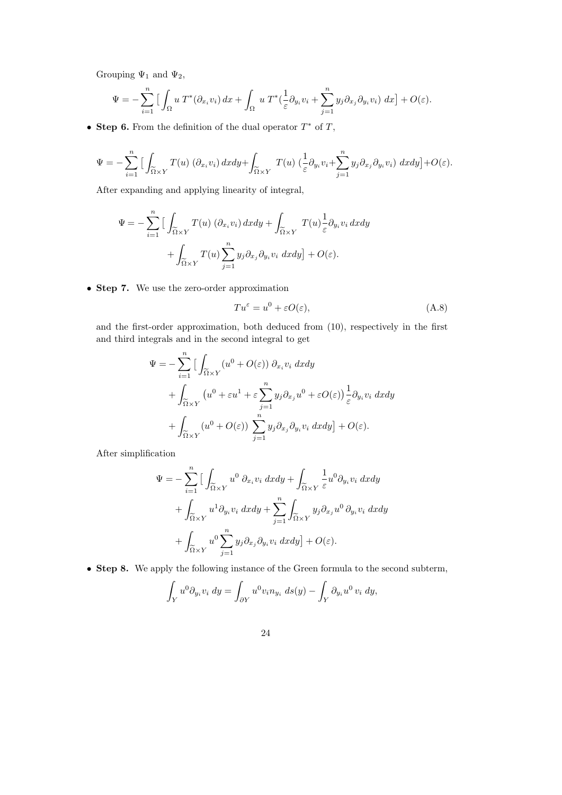Grouping  $\Psi_1$  and  $\Psi_2$ ,

$$
\Psi = -\sum_{i=1}^n \left[ \int_{\Omega} u \, T^*(\partial_{x_i} v_i) \, dx + \int_{\Omega} u \, T^*(\frac{1}{\varepsilon} \partial_{y_i} v_i + \sum_{j=1}^n y_j \partial_{x_j} \partial_{y_i} v_i) \, dx \right] + O(\varepsilon).
$$

• Step 6. From the definition of the dual operator  $T^*$  of  $T$ ,

$$
\Psi = -\sum_{i=1}^n \left[ \int_{\widetilde{\Omega} \times Y} T(u) \left( \partial_{x_i} v_i \right) dx dy + \int_{\widetilde{\Omega} \times Y} T(u) \left( \frac{1}{\varepsilon} \partial_{y_i} v_i + \sum_{j=1}^n y_j \partial_{x_j} \partial_{y_i} v_i \right) dx dy \right] + O(\varepsilon).
$$

After expanding and applying linearity of integral,

$$
\Psi = -\sum_{i=1}^{n} \left[ \int_{\widetilde{\Omega} \times Y} T(u) \left( \partial_{x_i} v_i \right) dx dy + \int_{\widetilde{\Omega} \times Y} T(u) \frac{1}{\varepsilon} \partial_{y_i} v_i dx dy \right] + \int_{\widetilde{\Omega} \times Y} T(u) \sum_{j=1}^{n} y_j \partial_{x_j} \partial_{y_i} v_i dx dy \right] + O(\varepsilon).
$$

• Step 7. We use the zero-order approximation

$$
Tu^{\varepsilon} = u^0 + \varepsilon O(\varepsilon),\tag{A.8}
$$

and the first-order approximation, both deduced from (10), respectively in the first and third integrals and in the second integral to get

$$
\Psi = -\sum_{i=1}^{n} \left[ \int_{\widetilde{\Omega} \times Y} (u^{0} + O(\varepsilon)) \partial_{x_{i}} v_{i} \, dxdy \right. \left. + \int_{\widetilde{\Omega} \times Y} (u^{0} + \varepsilon u^{1} + \varepsilon \sum_{j=1}^{n} y_{j} \partial_{x_{j}} u^{0} + \varepsilon O(\varepsilon)) \frac{1}{\varepsilon} \partial_{y_{i}} v_{i} \, dxdy \right. \left. + \int_{\widetilde{\Omega} \times Y} (u^{0} + O(\varepsilon)) \sum_{j=1}^{n} y_{j} \partial_{x_{j}} \partial_{y_{i}} v_{i} \, dxdy \right] + O(\varepsilon).
$$

After simplification

$$
\Psi = -\sum_{i=1}^{n} \Big[ \int_{\widetilde{\Omega} \times Y} u^{0} \, \partial_{x_{i}} v_{i} \, dxdy + \int_{\widetilde{\Omega} \times Y} \frac{1}{\varepsilon} u^{0} \partial_{y_{i}} v_{i} \, dxdy \n+ \int_{\widetilde{\Omega} \times Y} u^{1} \partial_{y_{i}} v_{i} \, dxdy + \sum_{j=1}^{n} \int_{\widetilde{\Omega} \times Y} y_{j} \partial_{x_{j}} u^{0} \, \partial_{y_{i}} v_{i} \, dxdy \n+ \int_{\widetilde{\Omega} \times Y} u^{0} \sum_{j=1}^{n} y_{j} \partial_{x_{j}} \partial_{y_{i}} v_{i} \, dxdy \Big] + O(\varepsilon).
$$

• Step 8. We apply the following instance of the Green formula to the second subterm,

$$
\int_Y u^0 \partial_{y_i} v_i \, dy = \int_{\partial Y} u^0 v_i n_{y_i} \, ds(y) - \int_Y \partial_{y_i} u^0 v_i \, dy,
$$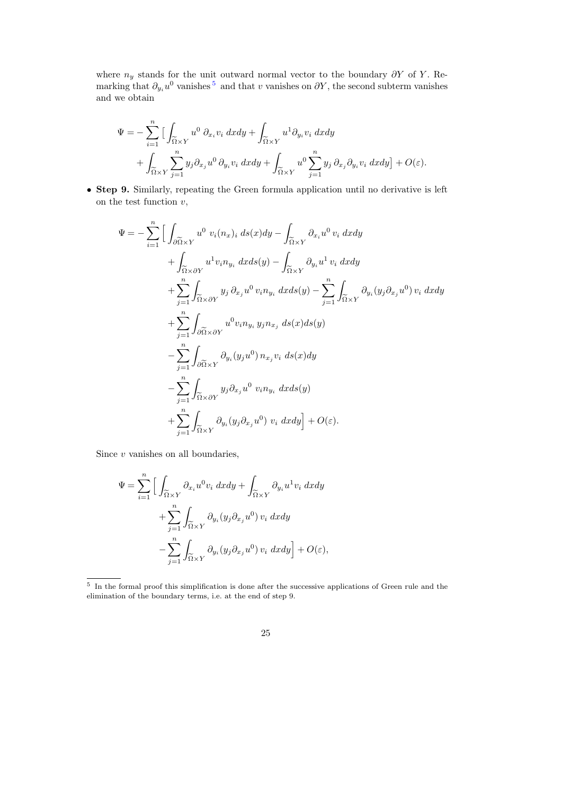where  $n_y$  stands for the unit outward normal vector to the boundary  $\partial Y$  of Y. Remarking that  $\partial_{y_i}u^0$  vanishes [5](#page-25-0) and that v vanishes on  $\partial Y$ , the second subterm vanishes and we obtain

$$
\Psi = -\sum_{i=1}^{n} \Big[ \int_{\widetilde{\Omega} \times Y} u^0 \, \partial_{x_i} v_i \, dxdy + \int_{\widetilde{\Omega} \times Y} u^1 \partial_{y_i} v_i \, dxdy + \int_{\widetilde{\Omega} \times Y} \sum_{j=1}^{n} y_j \partial_{x_j} u^0 \, \partial_{y_i} v_i \, dxdy + \int_{\widetilde{\Omega} \times Y} u^0 \sum_{j=1}^{n} y_j \, \partial_{x_j} \partial_{y_i} v_i \, dxdy \Big] + O(\varepsilon).
$$

• Step 9. Similarly, repeating the Green formula application until no derivative is left on the test function  $v$ ,

$$
\Psi = -\sum_{i=1}^{n} \Big[ \int_{\partial \widetilde{\Omega} \times Y} u^{0} v_{i}(n_{x})_{i} ds(x) dy - \int_{\widetilde{\Omega} \times Y} \partial_{x_{i}} u^{0} v_{i} dx dy \n+ \int_{\widetilde{\Omega} \times \partial Y} u^{1} v_{i} n_{y_{i}} dx ds(y) - \int_{\widetilde{\Omega} \times Y} \partial_{y_{i}} u^{1} v_{i} dx dy \n+ \sum_{j=1}^{n} \int_{\widetilde{\Omega} \times \partial Y} y_{j} \partial_{x_{j}} u^{0} v_{i} n_{y_{i}} dx ds(y) - \sum_{j=1}^{n} \int_{\widetilde{\Omega} \times Y} \partial_{y_{i}} (y_{j} \partial_{x_{j}} u^{0}) v_{i} dx dy \n+ \sum_{j=1}^{n} \int_{\partial \widetilde{\Omega} \times \partial Y} u^{0} v_{i} n_{y_{i}} y_{j} n_{x_{j}} ds(x) ds(y) \n- \sum_{j=1}^{n} \int_{\partial \widetilde{\Omega} \times Y} \partial_{y_{i}} (y_{j} u^{0}) n_{x_{j}} v_{i} ds(x) dy \n- \sum_{j=1}^{n} \int_{\widetilde{\Omega} \times \partial Y} y_{j} \partial_{x_{j}} u^{0} v_{i} n_{y_{i}} dx ds(y) \n+ \sum_{j=1}^{n} \int_{\widetilde{\Omega} \times Y} \partial_{y_{i}} (y_{j} \partial_{x_{j}} u^{0}) v_{i} dx dy \Big] + O(\varepsilon).
$$

Since  $v$  vanishes on all boundaries,

$$
\Psi = \sum_{i=1}^{n} \Big[ \int_{\widetilde{\Omega} \times Y} \partial_{x_i} u^0 v_i \, dxdy + \int_{\widetilde{\Omega} \times Y} \partial_{y_i} u^1 v_i \, dxdy \n+ \sum_{j=1}^{n} \int_{\widetilde{\Omega} \times Y} \partial_{y_i} (y_j \partial_{x_j} u^0) v_i \, dxdy \n- \sum_{j=1}^{n} \int_{\widetilde{\Omega} \times Y} \partial_{y_i} (y_j \partial_{x_j} u^0) v_i \, dxdy \Big] + O(\varepsilon),
$$

<span id="page-25-0"></span><sup>&</sup>lt;sup>5</sup> In the formal proof this simplification is done after the successive applications of Green rule and the elimination of the boundary terms, i.e. at the end of step 9.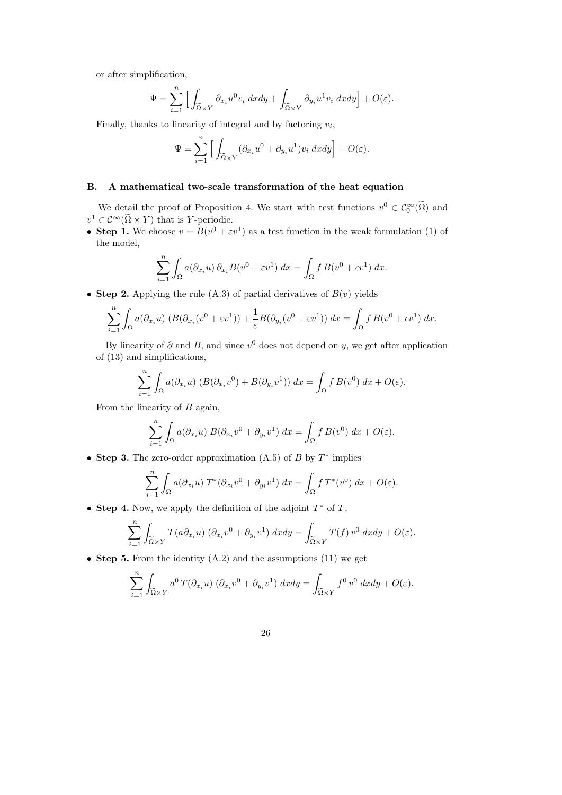or after simplification,

$$
\Psi = \sum_{i=1}^n \Big[ \int_{\widetilde{\Omega} \times Y} \partial_{x_i} u^0 v_i \, dx dy + \int_{\widetilde{\Omega} \times Y} \partial_{y_i} u^1 v_i \, dx dy \Big] + O(\varepsilon).
$$

Finally, thanks to linearity of integral and by factoring  $v_i$ ,

$$
\Psi = \sum_{i=1}^{n} \left[ \int_{\widetilde{\Omega} \times Y} (\partial_{x_i} u^0 + \partial_{y_i} u^1) v_i \ dx dy \right] + O(\varepsilon).
$$

# B. A mathematical two-scale transformation of the heat equation

We detail the proof of Proposition 4. We start with test functions  $v^0 \in C_0^{\infty}(\tilde{\Omega})$  and  $v^1 \in \mathcal{C}^\infty(\widetilde{\Omega} \times Y)$  that is Y-periodic.

• Step 1. We choose  $v = B(v^0 + \varepsilon v^1)$  as a test function in the weak formulation (1) of the model,

$$
\sum_{i=1}^{n} \int_{\Omega} a(\partial_{x_i} u) \, \partial_{x_i} B(v^0 + \varepsilon v^1) \, dx = \int_{\Omega} f B(v^0 + \epsilon v^1) \, dx.
$$

• Step 2. Applying the rule (A.3) of partial derivatives of  $B(v)$  yields

$$
\sum_{i=1}^n \int_{\Omega} a(\partial_{x_i} u) \left( B(\partial_{x_i} (v^0 + \varepsilon v^1)) + \frac{1}{\varepsilon} B(\partial_{y_i} (v^0 + \varepsilon v^1)) \right) dx = \int_{\Omega} f B(v^0 + \varepsilon v^1) dx.
$$

By linearity of  $\partial$  and  $B$ , and since  $v^0$  does not depend on y, we get after application of (13) and simplifications,

$$
\sum_{i=1}^n \int_{\Omega} a(\partial_{x_i} u) \left( B(\partial_{x_i} v^0) + B(\partial_{y_i} v^1) \right) dx = \int_{\Omega} f B(v^0) dx + O(\varepsilon).
$$

From the linearity of  $B$  again,

$$
\sum_{i=1}^{n} \int_{\Omega} a(\partial_{x_i} u) B(\partial_{x_i} v^0 + \partial_{y_i} v^1) dx = \int_{\Omega} f B(v^0) dx + O(\varepsilon).
$$

• Step 3. The zero-order approximation  $(A.5)$  of B by  $T^*$  implies

$$
\sum_{i=1}^n \int_{\Omega} a(\partial_{x_i} u) T^*(\partial_{x_i} v^0 + \partial_{y_i} v^1) dx = \int_{\Omega} f T^*(v^0) dx + O(\varepsilon).
$$

• Step 4. Now, we apply the definition of the adjoint  $T^*$  of  $T$ ,

$$
\sum_{i=1}^{n} \int_{\widetilde{\Omega} \times Y} T(a \partial_{x_i} u) \left( \partial_{x_i} v^0 + \partial_{y_i} v^1 \right) dx dy = \int_{\widetilde{\Omega} \times Y} T(f) v^0 dx dy + O(\varepsilon).
$$

• Step 5. From the identity  $(A.2)$  and the assumptions  $(11)$  we get

$$
\sum_{i=1}^n \int_{\widetilde{\Omega}\times Y} a^0 T(\partial_{x_i} u) \left(\partial_{x_i} v^0 + \partial_{y_i} v^1\right) dx dy = \int_{\widetilde{\Omega}\times Y} f^0 v^0 dx dy + O(\varepsilon).
$$

26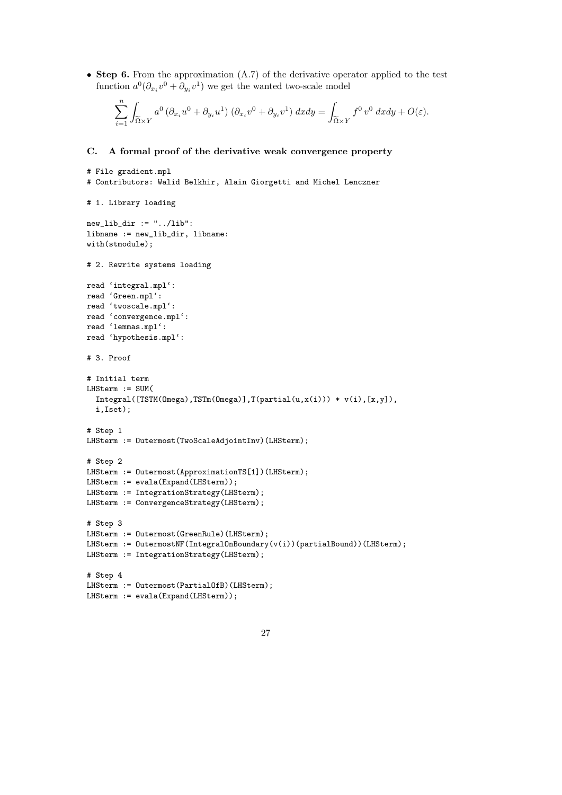• Step 6. From the approximation (A.7) of the derivative operator applied to the test function  $a^0(\partial_{x_i}v^0 + \partial_{y_i}v^1)$  we get the wanted two-scale model

$$
\sum_{i=1}^n \int_{\widetilde{\Omega}\times Y} a^0 \left(\partial_{x_i} u^0 + \partial_{y_i} u^1\right) \left(\partial_{x_i} v^0 + \partial_{y_i} v^1\right) dx dy = \int_{\widetilde{\Omega}\times Y} f^0 v^0 dx dy + O(\varepsilon).
$$

# C. A formal proof of the derivative weak convergence property

```
# File gradient.mpl
# Contributors: Walid Belkhir, Alain Giorgetti and Michel Lenczner
```

```
# 1. Library loading
```

```
new\_lib\_dir := "../lib":libname := new_lib_dir, libname:
with(stmodule);
# 2. Rewrite systems loading
read 'integral.mpl':
read 'Green.mpl':
read 'twoscale.mpl':
read 'convergence.mpl':
read 'lemmas.mpl':
read 'hypothesis.mpl':
# 3. Proof
# Initial term
LHSterm := SUM(
  Integral([TSTM(Omega), TSTm(Omega)], T(partial(u,x(i))) * v(i), [x,y]),i,Iset);
# Step 1
LHSterm := Outermost(TwoScaleAdjointInv)(LHSterm);
# Step 2
LHSterm := Outermost(ApproximationTS[1])(LHSterm);
LHSterm := evala(Expand(LHSterm));
LHSterm := IntegrationStrategy(LHSterm);
LHSterm := ConvergenceStrategy(LHSterm);
# Step 3
LHSterm := Outermost(GreenRule)(LHSterm);
LHSterm := \text{OutermostNF}(\text{IntegralOnBoundary}(v(i))(\text{partialBound}))(\text{LHSterm});
LHSterm := IntegrationStrategy(LHSterm);
# Step 4
LHSterm := Outermost(PartialOfB)(LHSterm);
LHSterm := evala(Expand(LHSterm));
```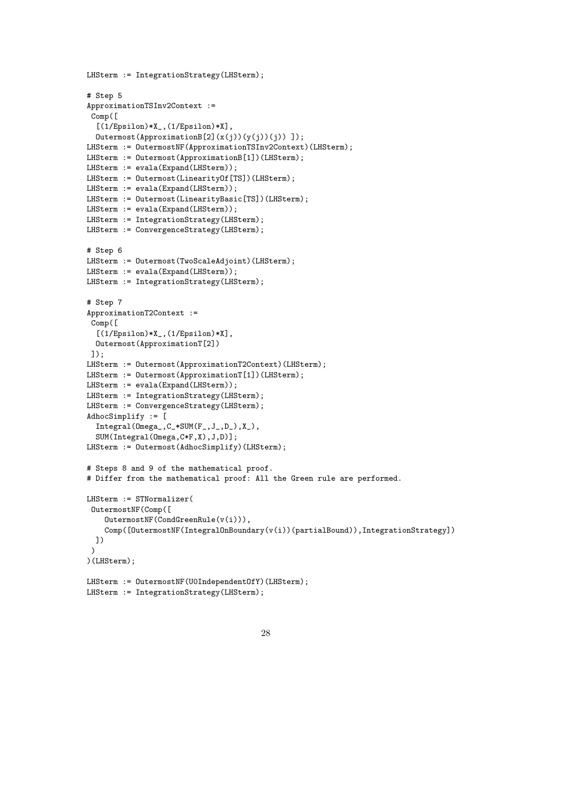```
LHSterm := IntegrationStrategy(LHSterm);
# Step 5
ApproximationTSInv2Context :=
Comp([
  [(1/Epsilon)*X_{-}, (1/Epsilon)*X],Outermost(ApproximationB[2](x(j))(y(j))(j))]);
LHSterm := OutermostNF(ApproximationTSInv2Context)(LHSterm);
LHSterm := Outermost(ApproximationB[1])(LHSterm);
LHSterm := evala(Expand(LHSterm));
LHSterm := Outermost(LinearityOf[TS])(LHSterm);
LHSterm := evala(Expand(LHSterm));
LHSterm := Outermost(LinearityBasic[TS])(LHSterm);
LHSterm := evala(Expand(LHSterm));
LHSterm := IntegrationStrategy(LHSterm);
LHSterm := ConvergenceStrategy(LHSterm);
# Step 6
LHSterm := Outermost(TwoScaleAdjoint)(LHSterm);
LHSterm := evala(Expand(LHSterm));
LHSterm := IntegrationStrategy(LHSterm);
# Step 7
ApproximationT2Context :=
 Comp([
  [(1/Epsilon)*X_-(1/Epsilon)*X],Outermost(ApproximationT[2])
]);
LHSterm := Outermost(ApproximationT2Context)(LHSterm);
LHSterm := Outermost(ApproximationT[1])(LHSterm);
LHSterm := evala(Expand(LHSterm));
LHSterm := IntegrationStrategy(LHSterm);
LHSterm := ConvergenceStrategy(LHSterm);
AdhocSimplify := [
  Integral(Omega_,C_*SUM(F_,J_,D_),X_),
 SUM(Integral(Omega,C*F,X),J,D)];
LHSterm := Outermost(AdhocSimplify)(LHSterm);
# Steps 8 and 9 of the mathematical proof.
# Differ from the mathematical proof: All the Green rule are performed.
LHSterm := STNormalizer(
OutermostNF(Comp([
   OutermostNF(CondGreenRule(v(i))),
    Comp([OutermostNF(IntegralOnBoundary(v(i))(partialBound)),IntegrationStrategy])
 ])
 )
)(LHSterm);
LHSterm := OutermostNF(UOIndependentOfY)(LHSterm);
LHSterm := IntegrationStrategy(LHSterm);
```

```
28
```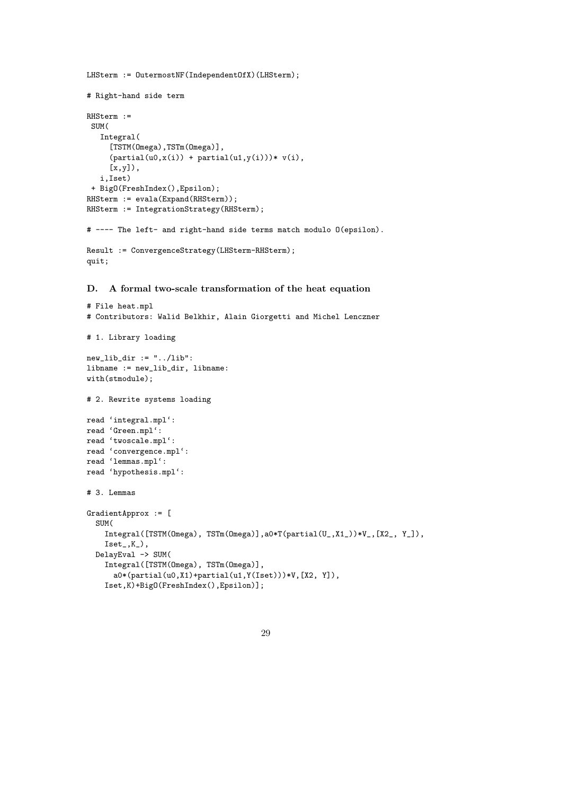```
LHSterm := OutermostNF(IndependentOfX)(LHSterm);
```

```
# Right-hand side term
RHSterm :=
 SUM(
   Integral(
     [TSTM(Omega),TSTm(Omega)],
     (\text{partial}(u0,x(i)) + \text{partial}(u1,y(i))) * v(i),[x,y]),
   i,Iset)
 + BigO(FreshIndex(),Epsilon);
RHSterm := evala(Expand(RHSterm));
RHSterm := IntegrationStrategy(RHSterm);
# ---- The left- and right-hand side terms match modulo O(epsilon).
Result := ConvergenceStrategy(LHSterm-RHSterm);
quit;
```
# D. A formal two-scale transformation of the heat equation

```
# File heat.mpl
# Contributors: Walid Belkhir, Alain Giorgetti and Michel Lenczner
# 1. Library loading
new lib dir := "../lib":
libname := new_lib_dir, libname:
with(stmodule);
# 2. Rewrite systems loading
read 'integral.mpl':
read 'Green.mpl':
read 'twoscale.mpl':
read 'convergence.mpl':
read 'lemmas.mpl':
read 'hypothesis.mpl':
# 3. Lemmas
GradientApprox := [
  SUM(
    Integral([TSTM(Omega), TSTm(Omega)],a0*T(partial(U_,X1_))*V_,[X2_, Y_]),
    \texttt{Iset\_},\texttt{K\_} ),
  DelayEval -> SUM(
    Integral([TSTM(Omega), TSTm(Omega)],
      a0*(partial(u0,X1)+partial(u1,Y(Iset)))*V,[X2,Y]),
    Iset,K)+BigO(FreshIndex(),Epsilon)];
```

```
29
```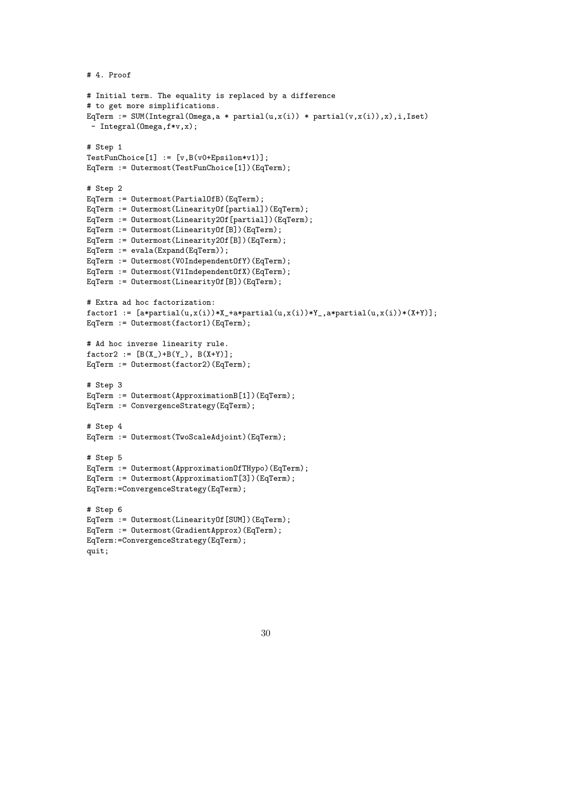```
# 4. Proof
# Initial term. The equality is replaced by a difference
# to get more simplifications.
EqTerm := SUM(Integral(Omega,a * partial(u,x(i)) * partial(v,x(i)),x),i,Iset)
 - Integral(Omega,f*v,x);
# Step 1
TestFunChoice[1] := [v,B(v0+Epsilon*v1)];
EqTerm := Outermost(TestFunChoice[1])(EqTerm);
# Step 2
EqTerm := Outermost(PartialOfB)(EqTerm);
EqTerm := Outermost(LinearityOf[partial])(EqTerm);
EqTerm := 0utermost(Linearity20f[partial])(EqTerm);
EqTerm := 0utermost(LinearityOf[B])(EqTerm);
EqTerm := Outermost(Linearity2Of[B])(EqTerm);
EqTerm := evala(Expand(EqTerm));
EqTerm := Outermost(V0IndependentOfY)(EqTerm);
EqTerm := Outermost(V1IndependentOfX)(EqTerm);
EqTerm := Outermost(LinearityOf[B])(EqTerm);
# Extra ad hoc factorization:
factor1 := [\text{a} * \text{partial}(u, x(i)) * X_-\text{+a} * \text{partial}(u, x(i)) * Y_-\text{,a} * \text{partial}(u, x(i)) * (X+Y)];
EqTerm := Outermost(factor1)(EqTerm);
# Ad hoc inverse linearity rule.
factor2 := [B(X_-)+B(Y_-), B(X+Y)],EqTerm := Outermost(factor2)(EqTerm);
# Step 3
EqTerm := Outermost(ApproximationB[1])(EqTerm);
EqTerm := ConvergenceStrategy(EqTerm);
# Step 4
EqTerm := Outermost(TwoScaleAdjoint)(EqTerm);
# Step 5
EqTerm := Outermost(ApproximationOfTHypo)(EqTerm);
EqTerm := Outermost(ApproximationT[3])(EqTerm);
EqTerm:=ConvergenceStrategy(EqTerm);
# Step 6
EqTerm := Outermost(LinearityOf[SUM])(EqTerm);
EqTerm := Outermost(GradientApprox)(EqTerm);
EqTerm:=ConvergenceStrategy(EqTerm);
quit;
```

```
30
```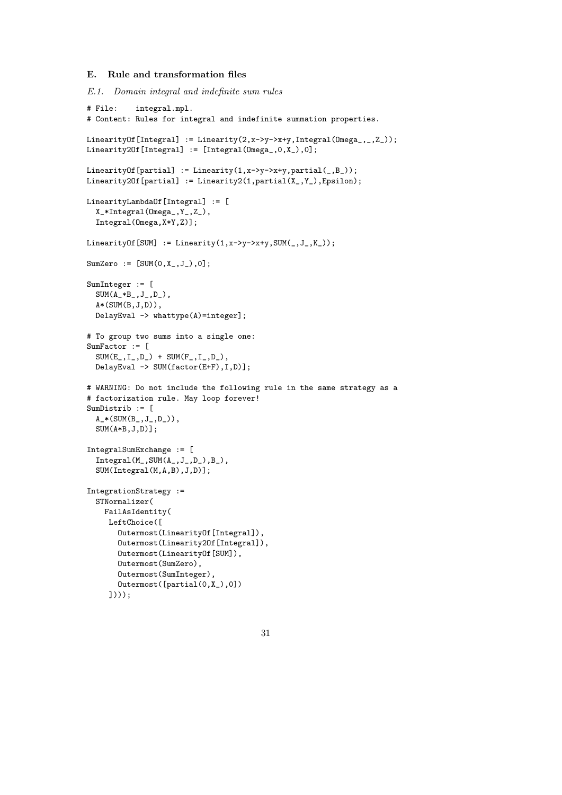# E. Rule and transformation files

```
E.1. Domain integral and indefinite sum rules
```

```
# File: integral.mpl.
# Content: Rules for integral and indefinite summation properties.
LinearityOf[Integral] := Linearity(2,x->y->x+y,Integral(Omega_,_,Z_));
Linearity2Of[Integral] := [Integral(Omega_, 0, X_), 0];
LinearityOf[partial] := Linearity(1,x->y->x+y,partial(_,B_));
Linearity2Of[partial] := Linearity2(1,partial(X_, Y_), Epsilon);
LinearityLambdaOf[Integral] := [
  X_*Integral(Omega_,Y_,Z_),
  Integral(Omega,X*Y,Z)];
LinearityOf[SUM] := Linearity(1, x->y->x+y, SUM(_, J_, K_,));
SumZero := [SUM(0,X_,J_),0];
SumInteger := [
  SUM(A_+ * B_-, J_-, D_-),
  A*(SUM(B,J,D)),DelayEval -> whattype(A)=integer];
# To group two sums into a single one:
SumFactor := [
  SUM(E_-,I_-,D_-) + SUM(F_-,I_-,D_-),
  DelayEval -> SUM(factor(E+F),I,D)];
# WARNING: Do not include the following rule in the same strategy as a
# factorization rule. May loop forever!
SumDistrib := [
  A_*(SUM(B_-, J_-, D_-)),
  SUM(A*B,J,D)];
IntegralSumExchange := [
  Integral(M_{},SUM(A_{-},J_{-},D_{-}),B_{-}),SUM(Integral(M,A,B),J,D)];
IntegrationStrategy :=
  STNormalizer(
    FailAsIdentity(
     LeftChoice([
       Outermost(LinearityOf[Integral]),
       Outermost(Linearity2Of[Integral]),
       Outermost(LinearityOf[SUM]),
       Outermost(SumZero),
       Outermost(SumInteger),
       Outermost([partial(0,X_),0])
     ])));
```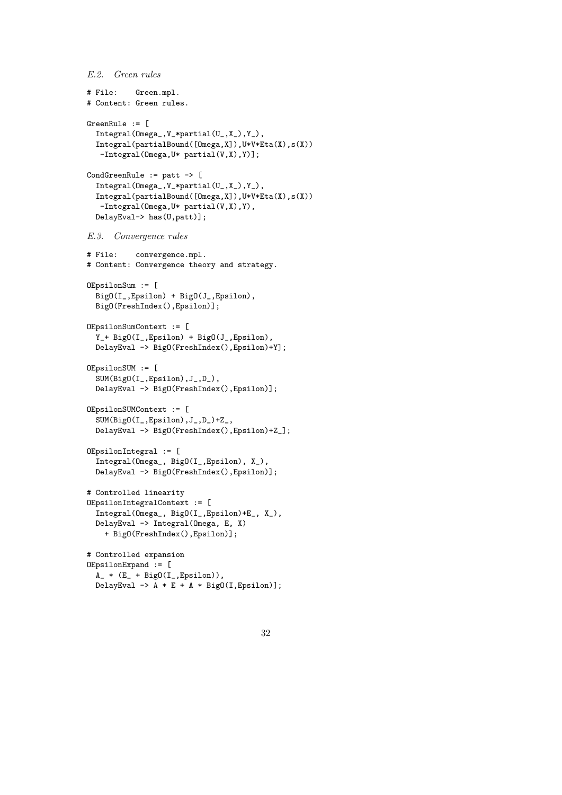```
E.2. Green rules
# File: Green.mpl.
# Content: Green rules.
GreenRule := [
  Integral(Omega_,V_*partial(U_,X_),Y_),
  Integral(partialBound([Omega,X]),U*V*Eta(X),s(X))
   -Integral(Omega,U* partial(V,X),Y)];
CondGreenRule := patt -> [
  \verb|Integral(Omega_-,V_*partial1(U_-,X_-),Y_-)|,Integral(partialBound([Omega,X]),U*V*Eta(X),s(X))
   -Integral(Omega,U* partial(V,X),Y),
 DelayEval-> has(U,patt)];
E.3. Convergence rules
# File: convergence.mpl.
# Content: Convergence theory and strategy.
OEpsilonSum := [
 BigO(I_,Epsilon) + BigO(J_,Epsilon),
 BigO(FreshIndex(),Epsilon)];
OEpsilonSumContext := [
  Y_+ BigO(I_,Epsilon) + BigO(J_,Epsilon),
 DelayEval -> BigO(FreshIndex(),Epsilon)+Y];
OEpsilonSUM := [
  SUM(BigO(I_,Epsilon),J_,D_),
  DelayEval -> BigO(FreshIndex(),Epsilon)];
OEpsilonSUMContext := [
  SUM(BigO(I_,Epsilon),J_,D_)+Z_,
 DelayEval -> BigO(FreshIndex(),Epsilon)+Z_];
OEpsilonIntegral := [
  Integral(Omega_, BigO(I_,Epsilon), X_),
  DelayEval -> BigO(FreshIndex(),Epsilon)];
# Controlled linearity
OEpsilonIntegralContext := [
  Integral(Omega_, BigO(I_,Epsilon)+E_, X_),
  DelayEval -> Integral(Omega, E, X)
    + BigO(FreshIndex(),Epsilon)];
# Controlled expansion
OEpsilonExpand := [
 A_ * (E_ + BigO(I_, Epsilon)),
 DelayEval \rightarrow A * E + A * BigO(I, Epsilon)];
```

```
32
```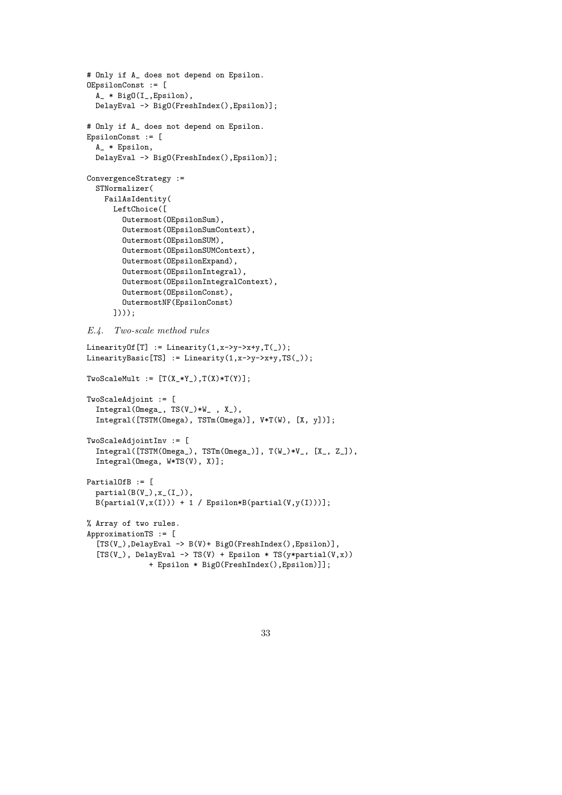```
# Only if A_ does not depend on Epsilon.
OEpsilonConst := [
  A_ * BigO(I_,Epsilon),
 DelayEval -> BigO(FreshIndex(),Epsilon)];
# Only if A_ does not depend on Epsilon.
EpsilonConst := [
  A_ * Epsilon,
 DelayEval -> BigO(FreshIndex(), Epsilon)];
ConvergenceStrategy :=
 STNormalizer(
   FailAsIdentity(
      LeftChoice([
        Outermost(OEpsilonSum),
        Outermost(OEpsilonSumContext),
        Outermost(OEpsilonSUM),
        Outermost(OEpsilonSUMContext),
        Outermost(OEpsilonExpand),
        Outermost(OEpsilonIntegral),
        Outermost(OEpsilonIntegralContext),
        Outermost(OEpsilonConst),
        OutermostNF(EpsilonConst)
      ])));
E.4. Two-scale method rules
LinearityOf[T] := Linearity(1, x->y->x+y,T(\_));
LinearityBasic[TS] := Linearity(1, x->y->x+y, TS(\_));
TwoScaleMult := [T(X_*Y_-), T(X)*T(Y)];TwoScaleAdjoint := [
  Integral(Omega_, TS(V_)*W_ , X_),
  Integral([TSTM(Omega), TSTm(Omega)], V*T(W), [X, y])];
TwoScaleAdjointInv := [
  Integral([TSTM(Omega_), TSTm(Omega_)], T(W_)*V_, [X_, Z_]),
  Integral(Omega, W*TS(V), X)];
PartialOfB := [
  partial(B(V_{-}), x_{-}(I_{-})),B(partial(V, x(I))) + 1 / Epsilon*B(partial(V,y(I)))];
% Array of two rules.
ApproximationTS := [
  [TS(V_),DelayEval -> B(V)+ BigO(FreshIndex(),Epsilon)],
  [TS(V_), DelayEval -> TS(V) + Epsilon * TS(y*partial(V,x))+ Epsilon * BigO(FreshIndex(),Epsilon)]];
```

```
33
```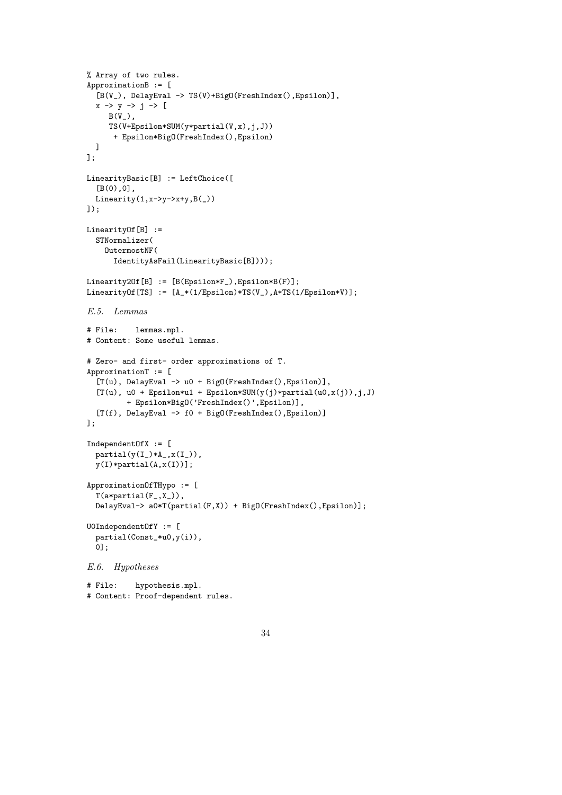```
% Array of two rules.
ApproximationB := [
  [B(V_), DelayEval -> TS(V)+BigO(FreshIndex(),Epsilon)],
  x -> y -> j -> [
     B(V_),
     TS(V+Epsilon*SUM(y*partial(V,x),j,J))
      + Epsilon*BigO(FreshIndex(),Epsilon)
 ]
];
LinearityBasic[B] := LeftChoice([
  [B(0),0],
 Linearity(1,x->y->x+y,B(\_))]);
LinearityOf[B] :=
 STNormalizer(
   OutermostNF(
      IdentityAsFail(LinearityBasic[B])));
Linearity2Of[B] := [B(Epsilon*F_),Epsilon*B(F)];
LinearityOf[TS] := [A_*(1/Epsilon)*TS(V_),A*TS(1/Epsilon*V)];E.5. Lemmas
# File: lemmas.mpl.
# Content: Some useful lemmas.
# Zero- and first- order approximations of T.
ApproximationT := [
  [T(u), DelayEval -> u0 + BigO(FreshIndex(),Epsilon)],
  [T(u), u0 + Espsilon*u1 + Espsilon*SUM(y(j)*partial(u0, x(j)), j, J)]+ Epsilon*BigO('FreshIndex()',Epsilon)],
  [T(f), DelayEval -> f0 + BigO(FreshIndex(),Epsilon)]
];
IndependentOfX := [
 partial(y(I_{-}) * A_{-}, x(I_{-})),
 y(I)*partial(A,x(I))];
ApproximationOfTHypo := [
 T(a *partial(F_-, X_-)),
  DelayEval-> a0*T(partial(F,X)) + BigO(FreshIndex(),Epsilon)];
U0IndependentOfY := [
  partial(Const_*u0,y(i)),
  0];
E.6. Hypotheses
# File: hypothesis.mpl.
```

```
# Content: Proof-dependent rules.
```

```
34
```